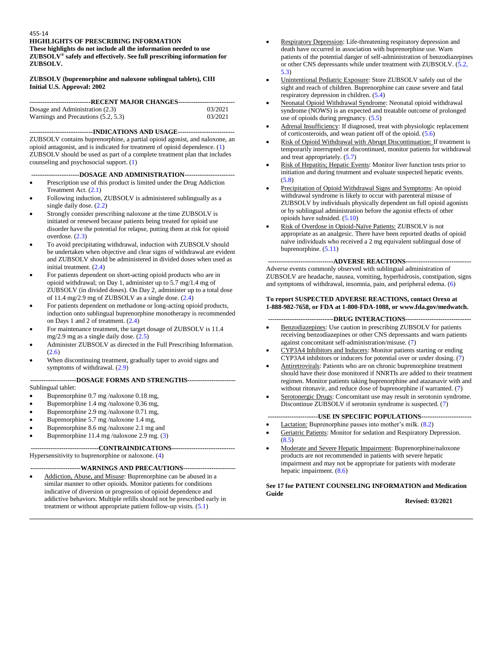**HIGHLIGHTS OF PRESCRIBING INFORMATION These highlights do not include all the information needed to use ZUBSOLV® safely and effectively. See full prescribing information for ZUBSOLV.** 

# **ZUBSOLV (buprenorphine and naloxone sublingual tablets), CIII Initial U.S. Approval: 2002**

| -----------------------------RECENT MAJOR CHANGES------------------------------ |         |
|---------------------------------------------------------------------------------|---------|
| Dosage and Administration (2.3)                                                 | 03/2021 |
| Warnings and Precautions (5.2, 5.3)                                             | 03/2021 |

**-----------------------------INDICATIONS AND USAGE--------------------------** ZUBSOLV contains buprenorphine, a partial opioid agonist, and naloxone, an opioid antagonist, and is indicated for treatment of opioid dependence. (1) ZUBSOLV should be used as part of a complete treatment plan that includes counseling and psychosocial support. (1)

# **----------------------DOSAGE AND ADMINISTRATION-----------------------**

- Prescription use of this product is limited under the Drug Addiction Treatment Act. (2.1)
- Following induction, ZUBSOLV is administered sublingually as a single daily dose. (2.2)
- Strongly consider prescribing naloxone at the time ZUBSOLV is initiated or renewed because patients being treated for opioid use disorder have the potential for relapse, putting them at risk for opioid overdose. (2.3)
- To avoid precipitating withdrawal, induction with ZUBSOLV should be undertaken when objective and clear signs of withdrawal are evident and ZUBSOLV should be administered in divided doses when used as initial treatment. (2.4)
- For patients dependent on short-acting opioid products who are in opioid withdrawal; on Day 1, administer up to 5.7 mg/1.4 mg of ZUBSOLV (in divided doses). On Day 2, administer up to a total dose of 11.4 mg/2.9 mg of ZUBSOLV as a single dose. (2.4)
- For patients dependent on methadone or long-acting opioid products, induction onto sublingual buprenorphine monotherapy is recommended on Days 1 and 2 of treatment. (2.4)
- For maintenance treatment, the target dosage of ZUBSOLV is 11.4 mg/2.9 mg as a single daily dose.  $(2.5)$
- Administer ZUBSOLV as directed in the Full Prescribing Information. (2.6)
- When discontinuing treatment, gradually taper to avoid signs and symptoms of withdrawal.  $(2.9)$

## **---------------------DOSAGE FORMS AND STRENGTHS----------------------** Sublingual tablet:

- Buprenorphine 0.7 mg /naloxone 0.18 mg,
- Buprenorphine 1.4 mg /naloxone 0.36 mg,
- Buprenorphine 2.9 mg /naloxone 0.71 mg,
- Buprenorphine 5.7 mg /naloxone 1.4 mg,
- Buprenorphine 8.6 mg /naloxone 2.1 mg and
- Buprenorphine 11.4 mg /naloxone 2.9 mg. (3)

## **-------------------------------CONTRAINDICATIONS-----------------------------** Hypersensitivity to buprenorphine or naloxone. (4)

# **-----------------------WARNINGS AND PRECAUTIONS------------------------**

 Addiction, Abuse, and Misuse: Buprenorphine can be abused in a similar manner to other opioids. Monitor patients for conditions indicative of diversion or progression of opioid dependence and addictive behaviors. Multiple refills should not be prescribed early in treatment or without appropriate patient follow-up visits. (5.1)

- Respiratory Depression: Life-threatening respiratory depression and death have occurred in association with buprenorphine use. Warn patients of the potential danger of self-administration of benzodiazepines or other CNS depressants while under treatment with ZUBSOLV. (5.2, 5.3)
- Unintentional Pediatric Exposure: Store ZUBSOLV safely out of the sight and reach of children. Buprenorphine can cause severe and fatal respiratory depression in children. (5.4)
- Neonatal Opioid Withdrawal Syndrome: Neonatal opioid withdrawal syndrome (NOWS) is an expected and treatable outcome of prolonged use of opioids during pregnancy. (5.5)
- Adrenal Insufficiency: If diagnosed, treat with physiologic replacement of corticosteroids, and wean patient off of the opioid. (5.6)
- Risk of Opioid Withdrawal with Abrupt Discontinuation: If treatment is temporarily interrupted or discontinued, monitor patients for withdrawal and treat appropriately. (5.7)
- Risk of Hepatitis; Hepatic Events: Monitor liver function tests prior to initiation and during treatment and evaluate suspected hepatic events. (5.8)
- Precipitation of Opioid Withdrawal Signs and Symptoms: An opioid withdrawal syndrome is likely to occur with parenteral misuse of ZUBSOLV by individuals physically dependent on full opioid agonists or by sublingual administration before the agonist effects of other opioids have subsided. (5.10)
- Risk of Overdose in Opioid-Naïve Patients: ZUBSOLV is not appropriate as an analgesic. There have been reported deaths of opioid naïve individuals who received a 2 mg equivalent sublingual dose of buprenorphine. (5.11)

# **------------------------------ADVERSE REACTIONS------------------------------**

Adverse events commonly observed with sublingual administration of ZUBSOLV are headache, nausea, vomiting, hyperhidrosis, constipation, signs and symptoms of withdrawal, insomnia, pain, and peripheral edema. (6)

# **To report SUSPECTED ADVERSE REACTIONS, contact Orexo at 1-888-982-7658, or FDA at 1-800-FDA-1088, or www.fda.gov/medwatch.**

# **------------------------------DRUG INTERACTIONS------------------------------**

- Benzodiazepines: Use caution in prescribing ZUBSOLV for patients receiving benzodiazepines or other CNS depressants and warn patients against concomitant self-administration/misuse. (7)
- CYP3A4 Inhibitors and Inducers: Monitor patients starting or ending CYP3A4 inhibitors or inducers for potential over or under dosing. (7)
- Antiretrovirals: Patients who are on chronic buprenorphine treatment should have their dose monitored if NNRTIs are added to their treatment regimen. Monitor patients taking buprenorphine and atazanavir with and without ritonavir, and reduce dose of buprenorphine if warranted. (7)
- Serotonergic Drugs: Concomitant use may result in serotonin syndrome. Discontinue ZUBSOLV if serotonin syndrome is suspected. (7)

# **-----------------------USE IN SPECIFIC POPULATIONS-----------------------**

Lactation: Buprenorphine passes into mother's milk. (8.2)

**\_\_\_\_\_\_\_\_\_\_\_\_\_\_\_\_\_\_\_\_\_\_\_\_\_\_\_\_\_\_\_\_\_\_\_\_\_\_\_\_\_\_\_\_\_\_\_\_\_\_\_\_\_\_\_\_\_\_\_\_\_\_\_\_\_\_\_\_\_\_\_\_\_\_\_\_\_\_\_\_\_\_\_\_\_\_\_\_\_\_\_\_\_\_\_\_\_\_\_\_\_\_\_\_\_\_\_\_\_\_\_\_\_\_\_\_\_\_\_\_\_\_\_\_\_\_\_\_\_\_\_\_\_\_\_**

- Geriatric Patients: Monitor for sedation and Respiratory Depression.  $(8.5)$
- Moderate and Severe Hepatic Impairment: Buprenorphine/naloxone products are not recommended in patients with severe hepatic impairment and may not be appropriate for patients with moderate hepatic impairment. (8.6)

# **See 17 for PATIENT COUNSELING INFORMATION and Medication Guide**

**Revised: 03/2021**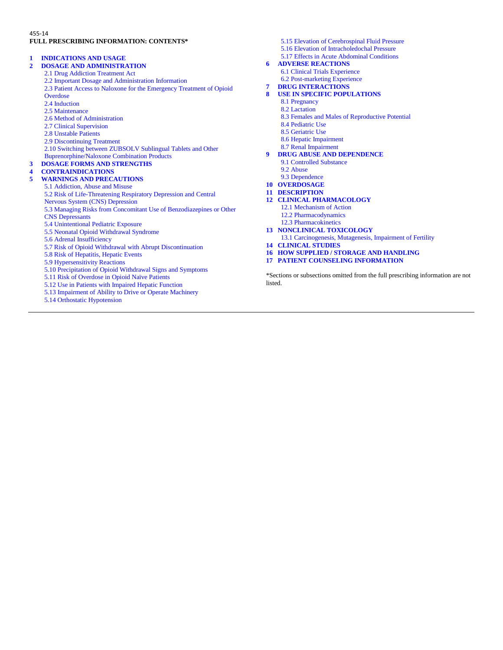# 455-14 **FULL PRESCRIBING INFORMATION: CONTENTS\***

# **1 INDICATIONS AND USAGE**

# **2 DOSAGE AND ADMINISTRATION**

- 2.1 Drug Addiction Treatment Act
- 2.2 Important Dosage and Administration Information
- 2.3 Patient Access to Naloxone for the Emergency Treatment of Opioid **Overdose**
- 2.4 Induction
- 2.5 Maintenance
- 2.6 Method of Administration
- 2.7 Clinical Supervision
- 2.8 Unstable Patients
- 2.9 Discontinuing Treatment
- 2.10 Switching between ZUBSOLV Sublingual Tablets and Other
- Buprenorphine/Naloxone Combination Products
- **3 DOSAGE FORMS AND STRENGTHS**

# **4 CONTRAINDICATIONS**

# **5 WARNINGS AND PRECAUTIONS**

- 5.1 Addiction, Abuse and Misuse
- 5.2 Risk of Life-Threatening Respiratory Depression and Central
- Nervous System (CNS) Depression
- 5.3 Managing Risks from Concomitant Use of Benzodiazepines or Other
- CNS Depressants
- 5.4 Unintentional Pediatric Exposure 5.5 Neonatal Opioid Withdrawal Syndrome
- 5.6 Adrenal Insufficiency
- 5.7 Risk of Opioid Withdrawal with Abrupt Discontinuation
- 5.8 Risk of Hepatitis, Hepatic Events
- 5.9 Hypersensitivity Reactions
- 5.10 Precipitation of Opioid Withdrawal Signs and Symptoms
- 5.11 Risk of Overdose in Opioid Naïve Patients
- 5.12 Use in Patients with Impaired Hepatic Function
- 5.13 Impairment of Ability to Drive or Operate Machinery
- 5.14 Orthostatic Hypotension
- 5.15 Elevation of Cerebrospinal Fluid Pressure 5.16 Elevation of Intracholedochal Pressure
- 5.17 Effects in Acute Abdominal Conditions
- **6 ADVERSE REACTIONS**
	- 6.1 Clinical Trials Experience
- 6.2 Post-marketing Experience **7 DRUG INTERACTIONS**
- 
- **8 USE IN SPECIFIC POPULATIONS**
	- 8.1 Pregnancy
	- 8.2 Lactation
	- 8.3 Females and Males of Reproductive Potential
	- 8.4 Pediatric Use
	- 8.5 Geriatric Use
	- 8.6 Hepatic Impairment
	- 8.7 Renal Impairment
- **9 DRUG ABUSE AND DEPENDENCE**
	- 9.1 Controlled Substance 9.2 Abuse
	-
- 9.3 Dependence **10 OVERDOSAGE**
- **11 DESCRIPTION**
- **12 CLINICAL PHARMACOLOGY**
	- 12.1 Mechanism of Action
	- 12.2 Pharmacodynamics
	- 12.3 Pharmacokinetics
- **13 NONCLINICAL TOXICOLOGY**
- 13.1 Carcinogenesis, Mutagenesis, Impairment of Fertility
- **14 CLINICAL STUDIES**
- **16 HOW SUPPLIED / STORAGE AND HANDLING**
- **17 PATIENT COUNSELING INFORMATION**

\*Sections or subsections omitted from the full prescribing information are not listed.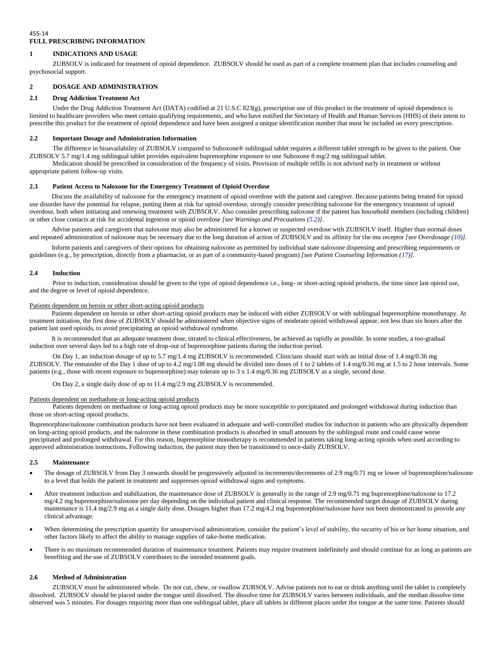# 455-14 **FULL PRESCRIBING INFORMATION**

# **1 INDICATIONS AND USAGE**

ZUBSOLV is indicated for treatment of opioid dependence. ZUBSOLV should be used as part of a complete treatment plan that includes counseling and psychosocial support.

# **2 DOSAGE AND ADMINISTRATION**

# **2.1 Drug Addiction Treatment Act**

Under the Drug Addiction Treatment Act (DATA) codified at 21 U.S.C 823(g), prescription use of this product in the treatment of opioid dependence is limited to healthcare providers who meet certain qualifying requirements, and who have notified the Secretary of Health and Human Services (HHS) of their intent to prescribe this product for the treatment of opioid dependence and have been assigned a unique identification number that must be included on every prescription.

# **2.2 Important Dosage and Administration Information**

The difference in bioavailability of ZUBSOLV compared to Suboxone® sublingual tablet requires a different tablet strength to be given to the patient. One ZUBSOLV 5.7 mg/1.4 mg sublingual tablet provides equivalent buprenorphine exposure to one Suboxone 8 mg/2 mg sublingual tablet.

Medication should be prescribed in consideration of the frequency of visits. Provision of multiple refills is not advised early in treatment or without appropriate patient follow-up visits.

# **2.3 Patient Access to Naloxone for the Emergency Treatment of Opioid Overdose**

Discuss the availability of naloxone for the emergency treatment of opioid overdose with the patient and caregiver. Because patients being treated for opioid use disorder have the potential for relapse, putting them at risk for opioid overdose, strongly consider prescribing naloxone for the emergency treatment of opioid overdose, both when initiating and renewing treatment with ZUBSOLV. Also consider prescribing naloxone if the patient has household members (including children) or other close contacts at risk for accidental ingestion or opioid overdose *[see Warnings and Precautions (5.2)]*.

Advise patients and caregivers that naloxone may also be administered for a known or suspected overdose with ZUBSOLV itself. Higher than normal doses and repeated administration of naloxone may be necessary due to the long duration of action of ZUBSOLV and its affinity for the mu receptor *[see Overdosage (10)]*.

Inform patients and caregivers of their options for obtaining naloxone as permitted by individual state naloxone dispensing and prescribing requirements or guidelines (e.g., by prescription, directly from a pharmacist, or as part of a community-based program) *[see Patient Counseling Information (17)]*.

## **2.4 Induction**

Prior to induction, consideration should be given to the type of opioid dependence i.e., long- or short-acting opioid products, the time since last opioid use, and the degree or level of opioid dependence.

### Patients dependent on heroin or other short-acting opioid products

Patients dependent on heroin or other short-acting opioid products may be induced with either ZUBSOLV or with sublingual buprenorphine monotherapy. At treatment initiation, the first dose of ZUBSOLV should be administered when objective signs of moderate opioid withdrawal appear, not less than six hours after the patient last used opioids, to avoid precipitating an opioid withdrawal syndrome.

It is recommended that an adequate treatment dose, titrated to clinical effectiveness, be achieved as rapidly as possible. In some studies, a too-gradual induction over several days led to a high rate of drop-out of buprenorphine patients during the induction period.

On Day 1, an induction dosage of up to 5.7 mg/1.4 mg ZUBSOLV is recommended. Clinicians should start with an initial dose of 1.4 mg/0.36 mg ZUBSOLV. The remainder of the Day 1 dose of up to 4.2 mg/1.08 mg should be divided into doses of 1 to 2 tablets of 1.4 mg/0.36 mg at 1.5 to 2 hour intervals. Some patients (e.g., those with recent exposure to buprenorphine) may tolerate up to 3 x 1.4 mg/0.36 mg ZUBSOLV as a single, second dose.

On Day 2, a single daily dose of up to 11.4 mg/2.9 mg ZUBSOLV is recommended.

## Patients dependent on methadone or long-acting opioid products

Patients dependent on methadone or long-acting opioid products may be more susceptible to precipitated and prolonged withdrawal during induction than those on short-acting opioid products.

Buprenorphine/naloxone combination products have not been evaluated in adequate and well-controlled studies for induction in patients who are physically dependent on long-acting opioid products, and the naloxone in these combination products is absorbed in small amounts by the sublingual route and could cause worse precipitated and prolonged withdrawal. For this reason, buprenorphine monotherapy is recommended in patients taking long-acting opioids when used according to approved administration instructions**.** Following induction, the patient may then be transitioned to once-daily ZUBSOLV.

## **2.5 Maintenance**

- The dosage of ZUBSOLV from Day 3 onwards should be progressively adjusted in increments/decrements of 2.9 mg/0.71 mg or lower of buprenorphine/naloxone to a level that holds the patient in treatment and suppresses opioid withdrawal signs and symptoms.
- After treatment induction and stabilization, the maintenance dose of ZUBSOLV is generally in the range of 2.9 mg/0.71 mg buprenorphine/naloxone to 17.2 mg/4.2 mg buprenorphine/naloxone per day depending on the individual patient and clinical response. The recommended target dosage of ZUBSOLV during maintenance is 11.4 mg/2.9 mg as a single daily dose. Dosages higher than 17.2 mg/4.2 mg buprenorphine/naloxone have not been demonstrated to provide any clinical advantage.
- When determining the prescription quantity for unsupervised administration, consider the patient's level of stability, the security of his or her home situation, and other factors likely to affect the ability to manage supplies of take-home medication.
- There is no maximum recommended duration of maintenance treatment. Patients may require treatment indefinitely and should continue for as long as patients are benefiting and the use of ZUBSOLV contributes to the intended treatment goals.

## **2.6 Method of Administration**

ZUBSOLV must be administered whole. Do not cut, chew, or swallow ZUBSOLV. Advise patients not to eat or drink anything until the tablet is completely dissolved. ZUBSOLV should be placed under the tongue until dissolved. The dissolve time for ZUBSOLV varies between individuals, and the median dissolve time observed was 5 minutes. For dosages requiring more than one sublingual tablet, place all tablets in different places under the tongue at the same time. Patients should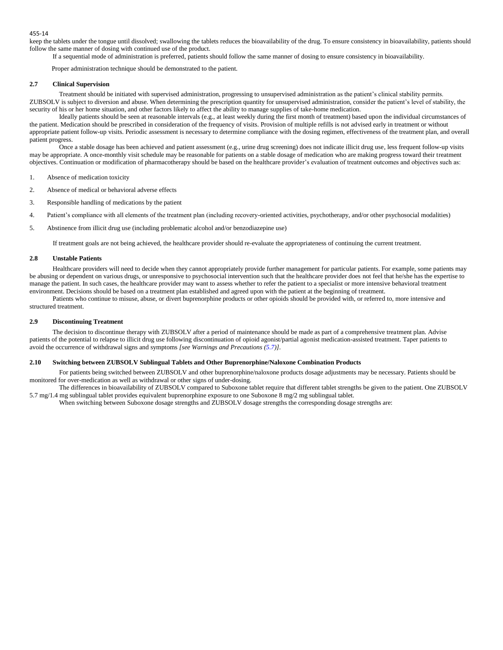keep the tablets under the tongue until dissolved; swallowing the tablets reduces the bioavailability of the drug. To ensure consistency in bioavailability, patients should follow the same manner of dosing with continued use of the product.

If a sequential mode of administration is preferred, patients should follow the same manner of dosing to ensure consistency in bioavailability.

Proper administration technique should be demonstrated to the patient.

### **2.7 Clinical Supervision**

Treatment should be initiated with supervised administration, progressing to unsupervised administration as the patient's clinical stability permits. ZUBSOLV is subject to diversion and abuse. When determining the prescription quantity for unsupervised administration, consider the patient's level of stability, the security of his or her home situation, and other factors likely to affect the ability to manage supplies of take-home medication.

Ideally patients should be seen at reasonable intervals (e.g., at least weekly during the first month of treatment) based upon the individual circumstances of the patient. Medication should be prescribed in consideration of the frequency of visits. Provision of multiple refills is not advised early in treatment or without appropriate patient follow-up visits. Periodic assessment is necessary to determine compliance with the dosing regimen, effectiveness of the treatment plan, and overall patient progress.

Once a stable dosage has been achieved and patient assessment (e.g., urine drug screening) does not indicate illicit drug use, less frequent follow-up visits may be appropriate. A once-monthly visit schedule may be reasonable for patients on a stable dosage of medication who are making progress toward their treatment objectives. Continuation or modification of pharmacotherapy should be based on the healthcare provider's evaluation of treatment outcomes and objectives such as:

- 1. Absence of medication toxicity
- 2. Absence of medical or behavioral adverse effects
- 3. Responsible handling of medications by the patient
- 4. Patient's compliance with all elements of the treatment plan (including recovery-oriented activities, psychotherapy, and/or other psychosocial modalities)
- 5. Abstinence from illicit drug use (including problematic alcohol and/or benzodiazepine use)

If treatment goals are not being achieved, the healthcare provider should re-evaluate the appropriateness of continuing the current treatment.

### **2.8 Unstable Patients**

Healthcare providers will need to decide when they cannot appropriately provide further management for particular patients. For example, some patients may be abusing or dependent on various drugs, or unresponsive to psychosocial intervention such that the healthcare provider does not feel that he/she has the expertise to manage the patient. In such cases, the healthcare provider may want to assess whether to refer the patient to a specialist or more intensive behavioral treatment environment. Decisions should be based on a treatment plan established and agreed upon with the patient at the beginning of treatment.

Patients who continue to misuse, abuse, or divert buprenorphine products or other opioids should be provided with, or referred to, more intensive and structured treatment.

### **2.9 Discontinuing Treatment**

The decision to discontinue therapy with ZUBSOLV after a period of maintenance should be made as part of a comprehensive treatment plan. Advise patients of the potential to relapse to illicit drug use following discontinuation of opioid agonist/partial agonist medication-assisted treatment. Taper patients to avoid the occurrence of withdrawal signs and symptoms *[see Warnings and Precautions (5.7)]*.

# **2.10 Switching between ZUBSOLV Sublingual Tablets and Other Buprenorphine/Naloxone Combination Products**

For patients being switched between ZUBSOLV and other buprenorphine/naloxone products dosage adjustments may be necessary. Patients should be monitored for over-medication as well as withdrawal or other signs of under-dosing.

The differences in bioavailability of ZUBSOLV compared to Suboxone tablet require that different tablet strengths be given to the patient. One ZUBSOLV 5.7 mg/1.4 mg sublingual tablet provides equivalent buprenorphine exposure to one Suboxone 8 mg/2 mg sublingual tablet.

When switching between Suboxone dosage strengths and ZUBSOLV dosage strengths the corresponding dosage strengths are: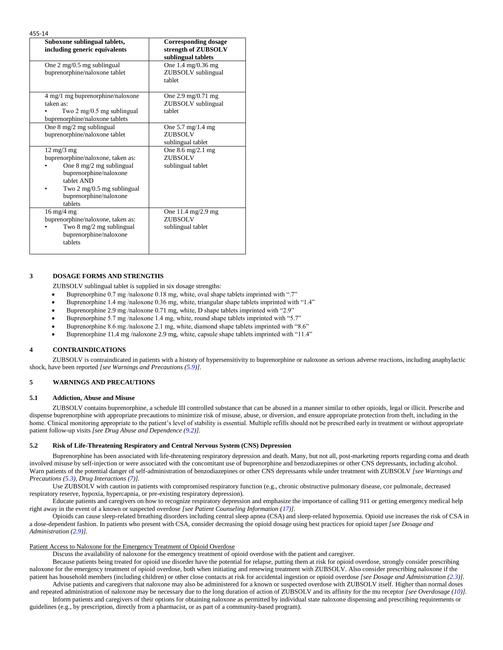| × | ۰.<br>× |  |
|---|---------|--|
|   |         |  |

| Suboxone sublingual tablets,<br>including generic equivalents                                                                                                                                            | <b>Corresponding dosage</b><br>strength of ZUBSOLV<br>sublingual tablets   |
|----------------------------------------------------------------------------------------------------------------------------------------------------------------------------------------------------------|----------------------------------------------------------------------------|
| One $2 \text{ mg}/0.5 \text{ mg}$ sublingual<br>buprenorphine/naloxone tablet                                                                                                                            | One $1.4 \text{ mg}/0.36 \text{ mg}$<br>ZUBSOLV sublingual<br>tablet       |
| 4 mg/1 mg buprenorphine/naloxone<br>taken as:<br>Two $2 \text{ mg}/0.5 \text{ mg}$ sublingual<br>buprenorphine/naloxone tablets                                                                          | One $2.9 \text{ mg}/0.71 \text{ mg}$<br>ZUBSOLV sublingual<br>tablet       |
| One $8 \text{ mg}/2 \text{ mg}$ sublingual<br>buprenorphine/naloxone tablet                                                                                                                              | One $5.7 \text{ mg}/1.4 \text{ mg}$<br><b>ZUBSOLV</b><br>sublingual tablet |
| $12 \text{ mg}/3 \text{ mg}$<br>buprenorphine/naloxone, taken as:<br>One 8 mg/2 mg sublingual<br>buprenorphine/naloxone<br>tablet AND<br>Two 2 mg/0.5 mg sublingual<br>buprenorphine/naloxone<br>tablets | One $8.6 \text{ mg}/2.1 \text{ mg}$<br>ZUBSOLV<br>sublingual tablet        |
| $16 \text{ mg}/4 \text{ mg}$<br>buprenorphine/naloxone, taken as:<br>Two 8 mg/2 mg sublingual<br>buprenorphine/naloxone<br>tablets                                                                       | One 11.4 mg/2.9 mg<br><b>ZUBSOLV</b><br>sublingual tablet                  |

# **3 DOSAGE FORMS AND STRENGTHS**

ZUBSOLV sublingual tablet is supplied in six dosage strengths:

- Buprenorphine 0.7 mg /naloxone 0.18 mg, white, oval shape tablets imprinted with ".7"
- Buprenorphine 1.4 mg /naloxone 0.36 mg, white, triangular shape tablets imprinted with "1.4"
- Buprenorphine 2.9 mg /naloxone 0.71 mg, white, D shape tablets imprinted with "2.9"
- Buprenorphine 5.7 mg /naloxone 1.4 mg, white, round shape tablets imprinted with "5.7"
- Buprenorphine 8.6 mg /naloxone 2.1 mg, white, diamond shape tablets imprinted with "8.6"
- Buprenorphine 11.4 mg /naloxone 2.9 mg, white, capsule shape tablets imprinted with "11.4"

### **4 CONTRAINDICATIONS**

ZUBSOLV is contraindicated in patients with a history of hypersensitivity to buprenorphine or naloxone as serious adverse reactions, including anaphylactic shock, have been reported *[see Warnings and Precautions (5.9)].*

# **5 WARNINGS AND PRECAUTIONS**

#### **5.1 Addiction, Abuse and Misuse**

ZUBSOLV contains buprenorphine, a schedule III controlled substance that can be abused in a manner similar to other opioids, legal or illicit. Prescribe and dispense buprenorphine with appropriate precautions to minimize risk of misuse, abuse, or diversion, and ensure appropriate protection from theft, including in the home. Clinical monitoring appropriate to the patient's level of stability is essential. Multiple refills should not be prescribed early in treatment or without appropriate patient follow-up visits *[see Drug Abuse and Dependence (9.2)].*

### **5.2 Risk of Life-Threatening Respiratory and Central Nervous System (CNS) Depression**

Buprenorphine has been associated with life-threatening respiratory depression and death. Many, but not all, post-marketing reports regarding coma and death involved misuse by self-injection or were associated with the concomitant use of buprenorphine and benzodiazepines or other CNS depressants, including alcohol. Warn patients of the potential danger of self-administration of benzodiazepines or other CNS depressants while under treatment with ZUBSOLV *[see Warnings and Precautions (5.3), Drug Interactions (7)].*

Use ZUBSOLV with caution in patients with compromised respiratory function (e.g., chronic obstructive pulmonary disease, cor pulmonale, decreased respiratory reserve, hypoxia, hypercapnia, or pre-existing respiratory depression).

Educate patients and caregivers on how to recognize respiratory depression and emphasize the importance of calling 911 or getting emergency medical help right away in the event of a known or suspected overdose *[see Patient Counseling Information (17)]*.

Opioids can cause sleep-related breathing disorders including central sleep apnea (CSA) and sleep-related hypoxemia. Opioid use increases the risk of CSA in a dose-dependent fashion. In patients who present with CSA, consider decreasing the opioid dosage using best practices for opioid taper *[see Dosage and Administration (2.9)].*

### Patient Access to Naloxone for the Emergency Treatment of Opioid Overdose

Discuss the availability of naloxone for the emergency treatment of opioid overdose with the patient and caregiver.

Because patients being treated for opioid use disorder have the potential for relapse, putting them at risk for opioid overdose, strongly consider prescribing naloxone for the emergency treatment of opioid overdose, both when initiating and renewing treatment with ZUBSOLV. Also consider prescribing naloxone if the patient has household members (including children) or other close contacts at risk for accidental ingestion or opioid overdose *[see Dosage and Administration (2.3)]*. Advise patients and caregivers that naloxone may also be administered for a known or suspected overdose with ZUBSOLV itself. Higher than normal doses

and repeated administration of naloxone may be necessary due to the long duration of action of ZUBSOLV and its affinity for the mu receptor *[see Overdosage (10)]*. Inform patients and caregivers of their options for obtaining naloxone as permitted by individual state naloxone dispensing and prescribing requirements or

guidelines (e.g., by prescription, directly from a pharmacist, or as part of a community-based program).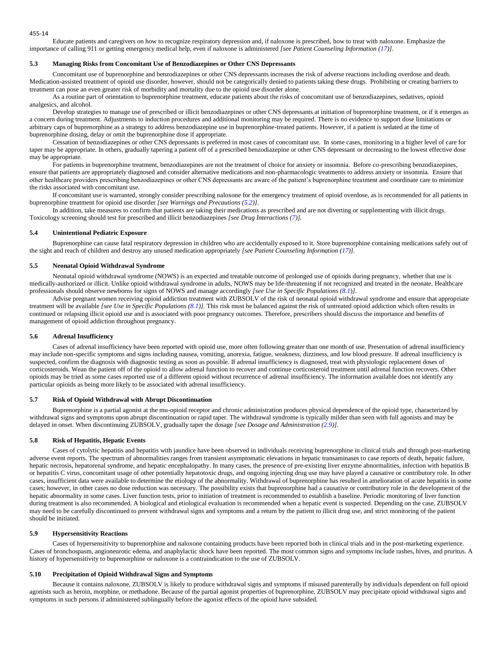Educate patients and caregivers on how to recognize respiratory depression and, if naloxone is prescribed, how to treat with naloxone. Emphasize the importance of calling 911 or getting emergency medical help, even if naloxone is administered *[see Patient Counseling Information (17)]*.

### **5.3 Managing Risks from Concomitant Use of Benzodiazepines or Other CNS Depressants**

Concomitant use of buprenorphine and benzodiazepines or other CNS depressants increases the risk of adverse reactions including overdose and death. Medication-assisted treatment of opioid use disorder, however, should not be categorically denied to patients taking these drugs. Prohibiting or creating barriers to treatment can pose an even greater risk of morbidity and mortality due to the opioid use disorder alone.

As a routine part of orientation to buprenorphine treatment, educate patients about the risks of concomitant use of benzodiazepines, sedatives, opioid analgesics, and alcohol.

Develop strategies to manage use of prescribed or illicit benzodiazepines or other CNS depressants at initiation of buprenorphine treatment, or if it emerges as a concern during treatment. Adjustments to induction procedures and additional monitoring may be required. There is no evidence to support dose limitations or arbitrary caps of buprenorphine as a strategy to address benzodiazepine use in buprenorphine-treated patients. However, if a patient is sedated at the time of buprenorphine dosing, delay or omit the buprenorphine dose if appropriate.

Cessation of benzodiazepines or other CNS depressants is preferred in most cases of concomitant use. In some cases, monitoring in a higher level of care for taper may be appropriate. In others, gradually tapering a patient off of a prescribed benzodiazepine or other CNS depressant or decreasing to the lowest effective dose may be appropriate.

For patients in buprenorphine treatment, benzodiazepines are not the treatment of choice for anxiety or insomnia. Before co-prescribing benzodiazepines, ensure that patients are appropriately diagnosed and consider alternative medications and non-pharmacologic treatments to address anxiety or insomnia. Ensure that other healthcare providers prescribing benzodiazepines or other CNS depressants are aware of the patient's buprenorphine treatment and coordinate care to minimize the risks associated with concomitant use.

If concomitant use is warranted, strongly consider prescribing naloxone for the emergency treatment of opioid overdose, as is recommended for all patients in buprenorphine treatment for opioid use disorder *[see Warnings and Precautions (5.2)]*.

In addition, take measures to confirm that patients are taking their medications as prescribed and are not diverting or supplementing with illicit drugs. Toxicology screening should test for prescribed and illicit benzodiazepines *[see Drug Interactions (7)].*

## **5.4 Unintentional Pediatric Exposure**

Buprenorphine can cause fatal respiratory depression in children who are accidentally exposed to it. Store buprenorphine containing medications safely out of the sight and reach of children and destroy any unused medication appropriately *[see Patient Counseling Information (17)].*

## **5.5 Neonatal Opioid Withdrawal Syndrome**

Neonatal opioid withdrawal syndrome (NOWS) is an expected and treatable outcome of prolonged use of opioids during pregnancy, whether that use is medically-authorized or illicit. Unlike opioid withdrawal syndrome in adults, NOWS may be life-threatening if not recognized and treated in the neonate. Healthcare professionals should observe newborns for signs of NOWS and manage accordingly *[see Use in Specific Populations (8.1*)*]*.

Advise pregnant women receiving opioid addiction treatment with ZUBSOLV of the risk of neonatal opioid withdrawal syndrome and ensure that appropriate treatment will be available *[see Use in Specific Populations (8.1)].* This risk must be balanced against the risk of untreated opioid addiction which often results in continued or relapsing illicit opioid use and is associated with poor pregnancy outcomes. Therefore, prescribers should discuss the importance and benefits of management of opioid addiction throughout pregnancy.

## **5.6 Adrenal Insufficiency**

Cases of adrenal insufficiency have been reported with opioid use, more often following greater than one month of use. Presentation of adrenal insufficiency may include non-specific symptoms and signs including nausea, vomiting, anorexia, fatigue, weakness, dizziness, and low blood pressure. If adrenal insufficiency is suspected, confirm the diagnosis with diagnostic testing as soon as possible. If adrenal insufficiency is diagnosed, treat with physiologic replacement doses of corticosteroids. Wean the patient off of the opioid to allow adrenal function to recover and continue corticosteroid treatment until adrenal function recovers. Other opioids may be tried as some cases reported use of a different opioid without recurrence of adrenal insufficiency. The information available does not identify any particular opioids as being more likely to be associated with adrenal insufficiency.

# **5.7 Risk of Opioid Withdrawal with Abrupt Discontinuation**

Buprenorphine is a partial agonist at the mu-opioid receptor and chronic administration produces physical dependence of the opioid type, characterized by withdrawal signs and symptoms upon abrupt discontinuation or rapid taper. The withdrawal syndrome is typically milder than seen with full agonists and may be delayed in onset. When discontinuing ZUBSOLV, gradually taper the dosage *[see Dosage and Administration (2.9)]*.

## **5.8 Risk of Hepatitis, Hepatic Events**

Cases of cytolytic hepatitis and hepatitis with jaundice have been observed in individuals receiving buprenorphine in clinical trials and through post-marketing adverse event reports. The spectrum of abnormalities ranges from transient asymptomatic elevations in hepatic transaminases to case reports of death, hepatic failure, hepatic necrosis, hepatorenal syndrome, and hepatic encephalopathy. In many cases, the presence of pre-existing liver enzyme abnormalities, infection with hepatitis B or hepatitis C virus, concomitant usage of other potentially hepatotoxic drugs, and ongoing injecting drug use may have played a causative or contributory role. In other cases, insufficient data were available to determine the etiology of the abnormality. Withdrawal of buprenorphine has resulted in amelioration of acute hepatitis in some cases; however, in other cases no dose reduction was necessary. The possibility exists that buprenorphine had a causative or contributory role in the development of the hepatic abnormality in some cases. Liver function tests, prior to initiation of treatment is recommended to establish a baseline. Periodic monitoring of liver function during treatment is also recommended. A biological and etiological evaluation is recommended when a hepatic event is suspected. Depending on the case, ZUBSOLV may need to be carefully discontinued to prevent withdrawal signs and symptoms and a return by the patient to illicit drug use, and strict monitoring of the patient should be initiated.

# **5.9 Hypersensitivity Reactions**

Cases of hypersensitivity to buprenorphine and naloxone containing products have been reported both in clinical trials and in the post-marketing experience. Cases of bronchospasm, angioneurotic edema, and anaphylactic shock have been reported. The most common signs and symptoms include rashes, hives, and pruritus. A history of hypersensitivity to buprenorphine or naloxone is a contraindication to the use of ZUBSOLV.

# **5.10 Precipitation of Opioid Withdrawal Signs and Symptoms**

Because it contains naloxone, ZUBSOLV is likely to produce withdrawal signs and symptoms if misused parenterally by individuals dependent on full opioid agonists such as heroin, morphine, or methadone. Because of the partial agonist properties of buprenorphine, ZUBSOLV may precipitate opioid withdrawal signs and symptoms in such persons if administered sublingually before the agonist effects of the opioid have subsided.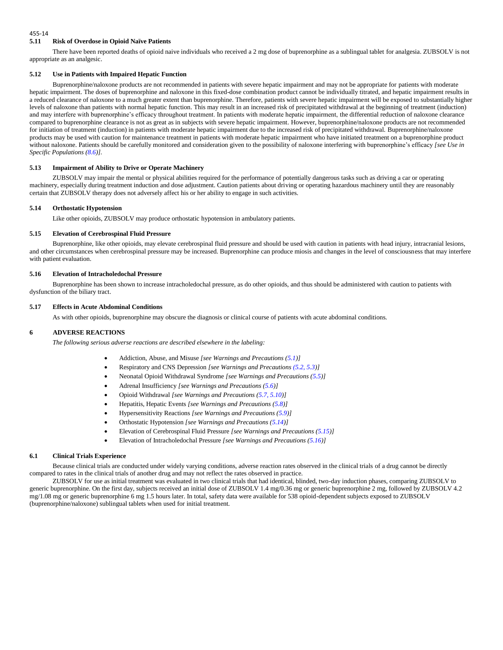## **5.11 Risk of Overdose in Opioid Naïve Patients**

There have been reported deaths of opioid naive individuals who received a 2 mg dose of buprenorphine as a sublingual tablet for analgesia. ZUBSOLV is not appropriate as an analgesic.

### **5.12 Use in Patients with Impaired Hepatic Function**

Buprenorphine/naloxone products are not recommended in patients with severe hepatic impairment and may not be appropriate for patients with moderate hepatic impairment. The doses of buprenorphine and naloxone in this fixed-dose combination product cannot be individually titrated, and hepatic impairment results in a reduced clearance of naloxone to a much greater extent than buprenorphine. Therefore, patients with severe hepatic impairment will be exposed to substantially higher levels of naloxone than patients with normal hepatic function. This may result in an increased risk of precipitated withdrawal at the beginning of treatment (induction) and may interfere with buprenorphine's efficacy throughout treatment. In patients with moderate hepatic impairment, the differential reduction of naloxone clearance compared to buprenorphine clearance is not as great as in subjects with severe hepatic impairment. However, buprenorphine/naloxone products are not recommended for initiation of treatment (induction) in patients with moderate hepatic impairment due to the increased risk of precipitated withdrawal. Buprenorphine/naloxone products may be used with caution for maintenance treatment in patients with moderate hepatic impairment who have initiated treatment on a buprenorphine product without naloxone. Patients should be carefully monitored and consideration given to the possibility of naloxone interfering with buprenorphine's efficacy [see Use in *Specific Populations (8.6)].*

#### **5.13 Impairment of Ability to Drive or Operate Machinery**

ZUBSOLV may impair the mental or physical abilities required for the performance of potentially dangerous tasks such as driving a car or operating machinery, especially during treatment induction and dose adjustment. Caution patients about driving or operating hazardous machinery until they are reasonably certain that ZUBSOLV therapy does not adversely affect his or her ability to engage in such activities.

### **5.14 Orthostatic Hypotension**

Like other opioids, ZUBSOLV may produce orthostatic hypotension in ambulatory patients.

# **5.15 Elevation of Cerebrospinal Fluid Pressure**

Buprenorphine, like other opioids, may elevate cerebrospinal fluid pressure and should be used with caution in patients with head injury, intracranial lesions, and other circumstances when cerebrospinal pressure may be increased. Buprenorphine can produce miosis and changes in the level of consciousness that may interfere with patient evaluation.

#### **5.16 Elevation of Intracholedochal Pressure**

Buprenorphine has been shown to increase intracholedochal pressure, as do other opioids, and thus should be administered with caution to patients with dysfunction of the biliary tract.

#### **5.17 Effects in Acute Abdominal Conditions**

As with other opioids, buprenorphine may obscure the diagnosis or clinical course of patients with acute abdominal conditions.

# **6 ADVERSE REACTIONS**

*The following serious adverse reactions are described elsewhere in the labeling:*

- Addiction, Abuse, and Misuse *[see Warnings and Precautions (5.1)]*
- Respiratory and CNS Depression *[see Warnings and Precautions (5.2, 5.3)]*
- Neonatal Opioid Withdrawal Syndrome *[see Warnings and Precautions (5.5)]*
- Adrenal Insufficiency *[see Warnings and Precautions (5.6)]*
- Opioid Withdrawal *[see Warnings and Precautions (5.7, 5.10)]*
- Hepatitis, Hepatic Events *[see Warnings and Precautions (5.8)]*
- Hypersensitivity Reactions *[see Warnings and Precautions (5.9)]*
- Orthostatic Hypotension *[see Warnings and Precautions (5.14)]*
- Elevation of Cerebrospinal Fluid Pressure *[see Warnings and Precautions (5.15)]*
- Elevation of Intracholedochal Pressure *[see Warnings and Precautions (5.16)]*

### **6.1 Clinical Trials Experience**

Because clinical trials are conducted under widely varying conditions, adverse reaction rates observed in the clinical trials of a drug cannot be directly compared to rates in the clinical trials of another drug and may not reflect the rates observed in practice.

ZUBSOLV for use as initial treatment was evaluated in two clinical trials that had identical, blinded, two-day induction phases, comparing ZUBSOLV to generic buprenorphine. On the first day, subjects received an initial dose of ZUBSOLV 1.4 mg/0.36 mg or generic buprenorphine 2 mg, followed by ZUBSOLV 4.2 mg/1.08 mg or generic buprenorphine 6 mg 1.5 hours later. In total, safety data were available for 538 opioid-dependent subjects exposed to ZUBSOLV (buprenorphine/naloxone) sublingual tablets when used for initial treatment.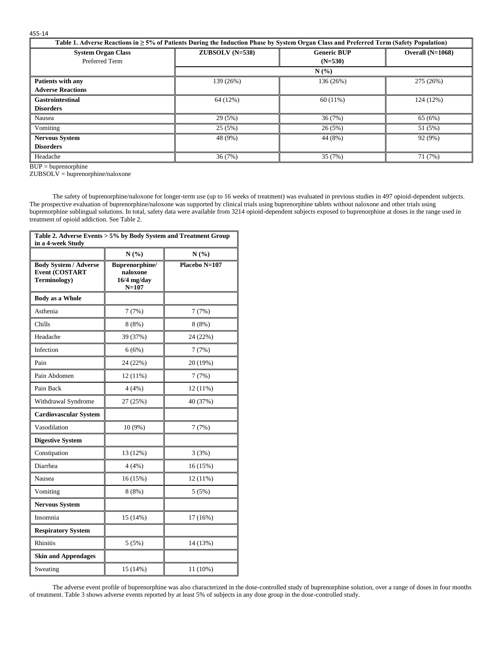| ۰.<br>× | ۰,<br>× |  |
|---------|---------|--|
|         |         |  |

| Table 1. Adverse Reactions in $\geq 5\%$ of Patients During the Induction Phase by System Organ Class and Preferred Term (Safety Population) |                  |                                 |                    |
|----------------------------------------------------------------------------------------------------------------------------------------------|------------------|---------------------------------|--------------------|
| <b>System Organ Class</b><br>Preferred Term                                                                                                  | $ZUBSOLV(N=538)$ | <b>Generic BUP</b><br>$(N=530)$ | Overall $(N=1068)$ |
|                                                                                                                                              |                  | N(%)                            |                    |
| <b>Patients with any</b>                                                                                                                     | 139 (26%)        | 136 (26%)                       | 275 (26%)          |
| <b>Adverse Reactions</b>                                                                                                                     |                  |                                 |                    |
| <b>Gastrointestinal</b>                                                                                                                      | 64 (12%)         | $60(11\%)$                      | 124 (12%)          |
| <b>Disorders</b>                                                                                                                             |                  |                                 |                    |
| Nausea                                                                                                                                       | 29(5%)           | 36(7%)                          | 65 (6%)            |
| Vomiting                                                                                                                                     | 25(5%)           | 26(5%)                          | 51 (5%)            |
| <b>Nervous System</b>                                                                                                                        | 48 (9%)          | 44 (8%)                         | 92 (9%)            |
| <b>Disorders</b>                                                                                                                             |                  |                                 |                    |
| Headache                                                                                                                                     | 36(7%)           | 35 (7%)                         | 71 (7%)            |

BUP = buprenorphine

 $ZUBSOLV = bupere norphine/naloxone$ 

The safety of buprenorphine/naloxone for longer-term use (up to 16 weeks of treatment) was evaluated in previous studies in 497 opioid-dependent subjects. The prospective evaluation of buprenorphine/naloxone was supported by clinical trials using buprenorphine tablets without naloxone and other trials using buprenorphine sublingual solutions. In total, safety data were available from 3214 opioid-dependent subjects exposed to buprenorphine at doses in the range used in treatment of opioid addiction. See Table 2.

| Table 2. Adverse Events > 5% by Body System and Treatment Group<br>in a 4-week Study |                                                          |               |  |
|--------------------------------------------------------------------------------------|----------------------------------------------------------|---------------|--|
|                                                                                      | N(%)                                                     | N(%)          |  |
| <b>Body System / Adverse</b><br><b>Event (COSTART</b><br>Terminology)                | Buprenorphine/<br>naloxone<br>$16/4$ mg/day<br>$N = 107$ | Placebo N=107 |  |
| <b>Body as a Whole</b>                                                               |                                                          |               |  |
| Asthenia                                                                             | 7(7%)                                                    | 7(7%)         |  |
| Chills                                                                               | 8(8%)                                                    | 8 (8%)        |  |
| Headache                                                                             | 39 (37%)                                                 | 24 (22%)      |  |
| Infection                                                                            | 6(6%)                                                    | 7(7%)         |  |
| Pain                                                                                 | 24 (22%)                                                 | 20 (19%)      |  |
| Pain Abdomen                                                                         | 12 (11%)                                                 | 7(7%)         |  |
| Pain Back                                                                            | 4(4%)                                                    | 12 (11%)      |  |
| Withdrawal Syndrome                                                                  | 27 (25%)                                                 | 40 (37%)      |  |
| <b>Cardiovascular System</b>                                                         |                                                          |               |  |
| Vasodilation                                                                         | 10 (9%)                                                  | 7(7%)         |  |
| <b>Digestive System</b>                                                              |                                                          |               |  |
| Constipation                                                                         | 13 (12%)                                                 | 3(3%)         |  |
| Diarrhea                                                                             | 4(4%)                                                    | 16 (15%)      |  |
| Nausea                                                                               | 16 (15%)                                                 | 12 (11%)      |  |
| Vomiting                                                                             | 8(8%)                                                    | 5(5%)         |  |
| <b>Nervous System</b>                                                                |                                                          |               |  |
| Insomnia                                                                             | 15 (14%)                                                 | 17 (16%)      |  |
| <b>Respiratory System</b>                                                            |                                                          |               |  |
| <b>Rhinitis</b>                                                                      | 5 (5%)                                                   | 14 (13%)      |  |
| <b>Skin and Appendages</b>                                                           |                                                          |               |  |
| Sweating                                                                             | 15 (14%)                                                 | 11 (10%)      |  |

The adverse event profile of buprenorphine was also characterized in the dose-controlled study of buprenorphine solution, over a range of doses in four months of treatment. Table 3 shows adverse events reported by at least 5% of subjects in any dose group in the dose-controlled study.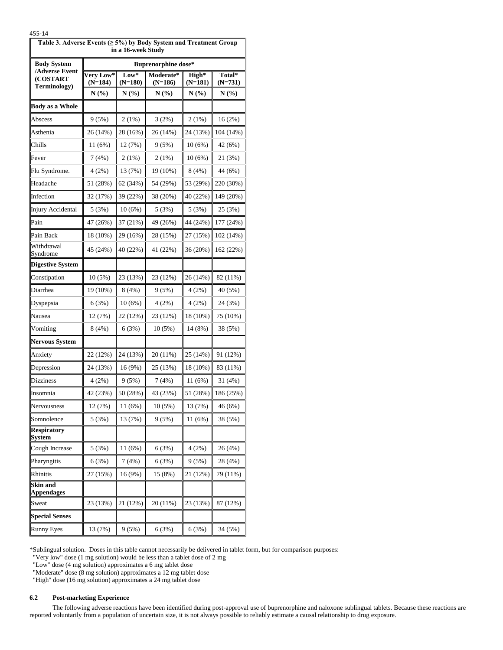| Table 3. Adverse Events (≥ 5%) by Body System and Treatment Group<br>in a 16-week Study |                            |                   |                        |                  |                   |
|-----------------------------------------------------------------------------------------|----------------------------|-------------------|------------------------|------------------|-------------------|
| <b>Body System</b>                                                                      | <b>Buprenorphine dose*</b> |                   |                        |                  |                   |
| /Adverse Event<br>(COSTART<br>Terminology)                                              | Very Low*<br>$(N=184)$     | Low*<br>$(N=180)$ | Moderate*<br>$(N=186)$ | High*<br>(N=181) | Total*<br>(N=731) |
|                                                                                         | N(%)                       | N(%)              | N(%)                   | N(%)             | N(%)              |
| <b>Body as a Whole</b>                                                                  |                            |                   |                        |                  |                   |
| Abscess                                                                                 | 9 (5%)                     | 2(1%)             | 3(2%)                  | 2 (1%)           | 16 (2%)           |
| Asthenia                                                                                | 26 (14%)                   | 28 (16%)          | 26 (14%)               | 24 (13%)         | 104 (14%)         |
| Chills                                                                                  | 11 (6%)                    | 12 (7%)           | 9(5%)                  | 10(6%)           | 42 (6%)           |
| Fever                                                                                   | 7(4%)                      | 2(1%)             | 2(1%)                  | 10(6%)           | 21 (3%)           |
| Flu Syndrome.                                                                           | 4 (2%)                     | 13 (7%)           | 19 (10%)               | 8(4%)            | 44 (6%)           |
| Headache                                                                                | 51 (28%)                   | 62 (34%)          | 54 (29%)               | 53 (29%)         | 220 (30%)         |
| Infection                                                                               | 32 (17%)                   | 39 (22%)          | 38 (20%)               | 40 (22%)         | 149 (20%)         |
| Injury Accidental                                                                       | 5(3%)                      | 10(6%)            | 5(3%)                  | 5(3%)            | 25 (3%)           |
| Pain                                                                                    | 47 (26%)                   | 37 (21%)          | 49 (26%)               | 44 (24%)         | 177 (24%)         |
| Pain Back                                                                               | 18 (10%)                   | 29 (16%)          | 28 (15%)               | 27 (15%)         | 102 (14%)         |
| Withdrawal<br>Syndrome                                                                  | 45 (24%)                   | 40 (22%)          | 41 (22%)               | 36 (20%)         | 162 (22%)         |
| <b>Digestive System</b>                                                                 |                            |                   |                        |                  |                   |
| Constipation                                                                            | 10(5%)                     | 23 (13%)          | 23 (12%)               | 26 (14%)         | 82 (11%)          |
| Diarrhea                                                                                | 19 (10%)                   | 8(4%)             | 9(5%)                  | 4(2%)            | 40 (5%)           |
| Dyspepsia                                                                               | 6(3%)                      | 10(6%)            | 4 (2%)                 | 4(2%)            | 24 (3%)           |
| Nausea                                                                                  | 12 (7%)                    | 22 (12%)          | 23 (12%)               | 18 (10%)         | 75 (10%)          |
| Vomiting                                                                                | 8(4%)                      | 6(3%)             | 10(5%)                 | 14 (8%)          | 38 (5%)           |
| <b>Nervous System</b>                                                                   |                            |                   |                        |                  |                   |
| Anxiety                                                                                 | 22 (12%)                   | 24 (13%)          | 20 (11%)               | 25 (14%)         | 91 (12%)          |
| Depression                                                                              | 24 (13%)                   | 16 (9%)           | 25 (13%)               | 18 (10%)         | 83 (11%)          |
| Dizziness                                                                               | 4(2%)                      | 9(5%)             | 7(4%)                  | 11 (6%)          | 31 (4%)           |
| Insomnia                                                                                | 42 (23%)                   | 50 (28%)          | 43 (23%)               | 51 (28%)         | 186 (25%)         |
| Nervousness                                                                             | 12 (7%)                    | 11 (6%)           | 10 (5%)                | 13 (7%)          | 46 (6%)           |
| Somnolence                                                                              | 5(3%)                      | 13 (7%)           | 9(5%)                  | 11 (6%)          | 38 (5%)           |
| <b>Respiratory</b><br>System                                                            |                            |                   |                        |                  |                   |
| Cough Increase                                                                          | 5(3%)                      | 11(6%)            | 6(3%)                  | 4(2%)            | 26 (4%)           |
| Pharyngitis                                                                             | 6(3%)                      | 7(4%)             | 6(3%)                  | 9(5%)            | 28 (4%)           |
| Rhinitis                                                                                | 27 (15%)                   | 16 (9%)           | 15 (8%)                | 21 (12%)         | 79 (11%)          |
| Skin and<br><b>Appendages</b>                                                           |                            |                   |                        |                  |                   |
| Sweat                                                                                   | 23 (13%)                   | 21 (12%)          | 20(11%)                | 23 (13%)         | 87 (12%)          |
| <b>Special Senses</b>                                                                   |                            |                   |                        |                  |                   |
| <b>Runny Eyes</b>                                                                       | 13 (7%)                    | 9(5%)             | 6(3%)                  | 6(3%)            | 34 (5%)           |

\*Sublingual solution. Doses in this table cannot necessarily be delivered in tablet form, but for comparison purposes:

"Very low" dose (1 mg solution) would be less than a tablet dose of 2 mg

"Low" dose (4 mg solution) approximates a 6 mg tablet dose

"Moderate" dose (8 mg solution) approximates a 12 mg tablet dose

"High" dose (16 mg solution) approximates a 24 mg tablet dose

# **6.2 Post-marketing Experience**

The following adverse reactions have been identified during post-approval use of buprenorphine and naloxone sublingual tablets. Because these reactions are reported voluntarily from a population of uncertain size, it is not always possible to reliably estimate a causal relationship to drug exposure.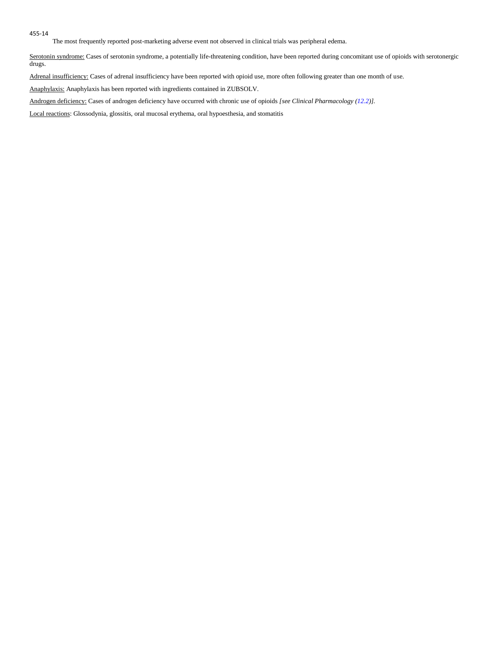The most frequently reported post-marketing adverse event not observed in clinical trials was peripheral edema.

Serotonin syndrome: Cases of serotonin syndrome, a potentially life-threatening condition, have been reported during concomitant use of opioids with serotonergic drugs.

Adrenal insufficiency: Cases of adrenal insufficiency have been reported with opioid use, more often following greater than one month of use.

Anaphylaxis: Anaphylaxis has been reported with ingredients contained in ZUBSOLV.

Androgen deficiency: Cases of androgen deficiency have occurred with chronic use of opioids *[see Clinical Pharmacology (12.2)].*

Local reactions: Glossodynia, glossitis, oral mucosal erythema, oral hypoesthesia, and stomatitis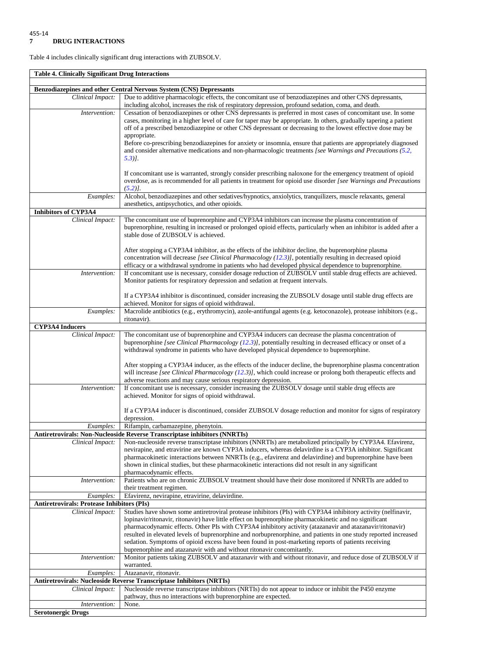**Serotonergic Drugs**

Table 4 includes clinically significant drug interactions with ZUBSOLV.

**Table 4. Clinically Significant Drug Interactions Benzodiazepines and other Central Nervous System (CNS) Depressants** *Clinical Impact:* Due to additive pharmacologic effects, the concomitant use of benzodiazepines and other CNS depressants, including alcohol, increases the risk of respiratory depression, profound sedation, coma, and death. *Intervention:* Cessation of benzodiazepines or other CNS depressants is preferred in most cases of concomitant use. In some cases, monitoring in a higher level of care for taper may be appropriate. In others, gradually tapering a patient off of a prescribed benzodiazepine or other CNS depressant or decreasing to the lowest effective dose may be appropriate. Before co-prescribing benzodiazepines for anxiety or insomnia, ensure that patients are appropriately diagnosed and consider alternative medications and non-pharmacologic treatments *[see Warnings and Precautions (5.2, 5.3)]*. If concomitant use is warranted, strongly consider prescribing naloxone for the emergency treatment of opioid overdose, as is recommended for all patients in treatment for opioid use disorder *[see Warnings and Precautions (5.2)]*. *Examples:* Alcohol, benzodiazepines and other sedatives/hypnotics, anxiolytics, tranquilizers, muscle relaxants, general anesthetics, antipsychotics, and other opioids. **Inhibitors of CYP3A4**  *Clinical Impact:* The concomitant use of buprenorphine and CYP3A4 inhibitors can increase the plasma concentration of buprenorphine, resulting in increased or prolonged opioid effects, particularly when an inhibitor is added after a stable dose of ZUBSOLV is achieved. After stopping a CYP3A4 inhibitor, as the effects of the inhibitor decline, the buprenorphine plasma concentration will decrease *[see Clinical Pharmacology (12.3)]*, potentially resulting in decreased opioid efficacy or a withdrawal syndrome in patients who had developed physical dependence to buprenorphine. *Intervention:* If concomitant use is necessary, consider dosage reduction of ZUBSOLV until stable drug effects are achieved. Monitor patients for respiratory depression and sedation at frequent intervals. If a CYP3A4 inhibitor is discontinued, consider increasing the ZUBSOLV dosage until stable drug effects are achieved. Monitor for signs of opioid withdrawal. *Examples:* Macrolide antibiotics (e.g., erythromycin), azole-antifungal agents (e.g. ketoconazole), protease inhibitors (e.g., ritonavir). **CYP3A4 Inducers** *Clinical Impact:* The concomitant use of buprenorphine and CYP3A4 inducers can decrease the plasma concentration of buprenorphine *[see Clinical Pharmacology (12.3)]*, potentially resulting in decreased efficacy or onset of a withdrawal syndrome in patients who have developed physical dependence to buprenorphine. After stopping a CYP3A4 inducer, as the effects of the inducer decline, the buprenorphine plasma concentration will increase *[see Clinical Pharmacology (12.3)]*, which could increase or prolong both therapeutic effects and adverse reactions and may cause serious respiratory depression. *Intervention:* If concomitant use is necessary, consider increasing the ZUBSOLV dosage until stable drug effects are achieved. Monitor for signs of opioid withdrawal. If a CYP3A4 inducer is discontinued, consider ZUBSOLV dosage reduction and monitor for signs of respiratory depression. *Examples:* Rifampin, carbamazepine, phenytoin. **Antiretrovirals: Non-Nucleoside Reverse Transcriptase inhibitors (NNRTIs)** *Clinical Impact:* Non-nucleoside reverse transcriptase inhibitors (NNRTIs) are metabolized principally by CYP3A4. Efavirenz, nevirapine, and etravirine are known CYP3A inducers, whereas delavirdine is a CYP3A inhibitor. Significant pharmacokinetic interactions between NNRTIs (e.g., efavirenz and delavirdine) and buprenorphine have been shown in clinical studies, but these pharmacokinetic interactions did not result in any significant pharmacodynamic effects. *Intervention:* Patients who are on chronic ZUBSOLV treatment should have their dose monitored if NNRTIs are added to their treatment regimen. *Examples:* Efavirenz, nevirapine, etravirine, delavirdine. **Antiretrovirals: Protease Inhibitors (PIs)** *Clinical Impact:* Studies have shown some antiretroviral protease inhibitors (PIs) with CYP3A4 inhibitory activity (nelfinavir, lopinavir/ritonavir, ritonavir) have little effect on buprenorphine pharmacokinetic and no significant pharmacodynamic effects. Other PIs with CYP3A4 inhibitory activity (atazanavir and atazanavir/ritonavir) resulted in elevated levels of buprenorphine and norbuprenorphine, and patients in one study reported increased sedation. Symptoms of opioid excess have been found in post-marketing reports of patients receiving buprenorphine and atazanavir with and without ritonavir concomitantly. *Intervention:* Monitor patients taking ZUBSOLV and atazanavir with and without ritonavir, and reduce dose of ZUBSOLV if warranted. *Examples:* Atazanavir, ritonavir. **Antiretrovirals: Nucleoside Reverse Transcriptase Inhibitors (NRTIs)** *Clinical Impact:* Nucleoside reverse transcriptase inhibitors (NRTIs) do not appear to induce or inhibit the P450 enzyme pathway, thus no interactions with buprenorphine are expected. *Intervention:* None.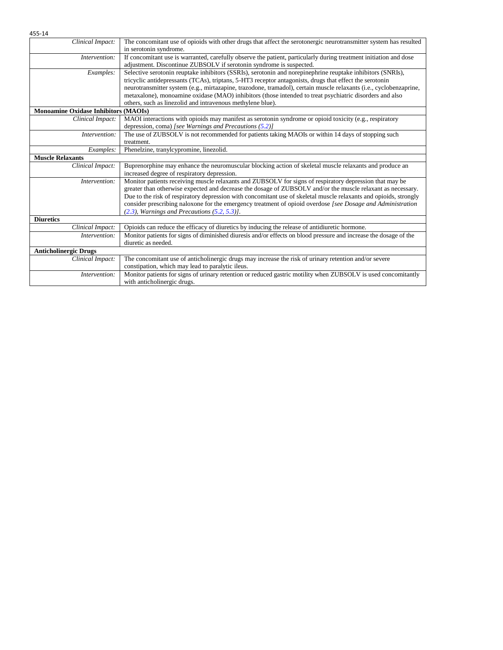| 455-14                                      |                                                                                                                    |  |
|---------------------------------------------|--------------------------------------------------------------------------------------------------------------------|--|
| Clinical Impact:                            | The concomitant use of opioids with other drugs that affect the serotonergic neurotransmitter system has resulted  |  |
|                                             | in serotonin syndrome.                                                                                             |  |
| Intervention:                               | If concomitant use is warranted, carefully observe the patient, particularly during treatment initiation and dose  |  |
|                                             | adjustment. Discontinue ZUBSOLV if serotonin syndrome is suspected.                                                |  |
| Examples:                                   | Selective serotonin reuptake inhibitors (SSRIs), serotonin and norepinephrine reuptake inhibitors (SNRIs),         |  |
|                                             | tricyclic antidepressants (TCAs), triptans, 5-HT3 receptor antagonists, drugs that effect the serotonin            |  |
|                                             | neurotransmitter system (e.g., mirtazapine, trazodone, tramadol), certain muscle relaxants (i.e., cyclobenzaprine, |  |
|                                             | metaxalone), monoamine oxidase (MAO) inhibitors (those intended to treat psychiatric disorders and also            |  |
|                                             | others, such as linezolid and intravenous methylene blue).                                                         |  |
| <b>Monoamine Oxidase Inhibitors (MAOIs)</b> |                                                                                                                    |  |
| Clinical Impact:                            | MAOI interactions with opioids may manifest as serotonin syndrome or opioid toxicity (e.g., respiratory            |  |
|                                             | depression, coma) [see Warnings and Precautions $(5.2)$ ]                                                          |  |
| Intervention:                               | The use of ZUBSOLV is not recommended for patients taking MAOIs or within 14 days of stopping such                 |  |
|                                             | treatment.                                                                                                         |  |
| Examples:                                   | Phenelzine, tranylcypromine, linezolid.                                                                            |  |
| <b>Muscle Relaxants</b>                     |                                                                                                                    |  |
| Clinical Impact:                            | Buprenorphine may enhance the neuromuscular blocking action of skeletal muscle relaxants and produce an            |  |
|                                             | increased degree of respiratory depression.                                                                        |  |
| Intervention:                               | Monitor patients receiving muscle relaxants and ZUBSOLV for signs of respiratory depression that may be            |  |
|                                             | greater than otherwise expected and decrease the dosage of ZUBSOLV and/or the muscle relaxant as necessary.        |  |
|                                             | Due to the risk of respiratory depression with concomitant use of skeletal muscle relaxants and opioids, strongly  |  |
|                                             | consider prescribing naloxone for the emergency treatment of opioid overdose [see Dosage and Administration        |  |
|                                             | $(2.3)$ , Warnings and Precautions $(5.2, 5.3)$ ].                                                                 |  |
| <b>Diuretics</b>                            |                                                                                                                    |  |
| Clinical Impact:                            | Opioids can reduce the efficacy of diuretics by inducing the release of antidiuretic hormone.                      |  |
| Intervention:                               | Monitor patients for signs of diminished diuresis and/or effects on blood pressure and increase the dosage of the  |  |
|                                             | diuretic as needed.                                                                                                |  |
| <b>Anticholinergic Drugs</b>                |                                                                                                                    |  |
| Clinical Impact:                            | The concomitant use of anticholinergic drugs may increase the risk of urinary retention and/or severe              |  |
|                                             | constipation, which may lead to paralytic ileus.                                                                   |  |
| Intervention:                               | Monitor patients for signs of urinary retention or reduced gastric motility when ZUBSOLV is used concomitantly     |  |
|                                             | with anticholinergic drugs.                                                                                        |  |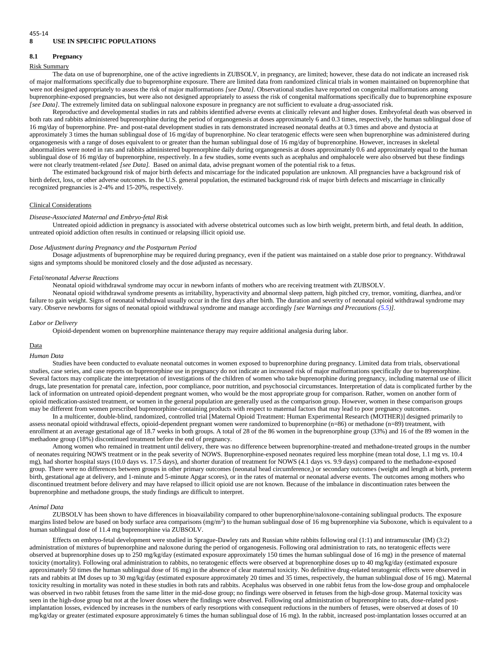#### 455-14 **8 USE IN SPECIFIC POPULATIONS**

### **8.1 Pregnancy**

#### Risk Summary

The data on use of buprenorphine, one of the active ingredients in ZUBSOLV, in pregnancy, are limited; however, these data do not indicate an increased risk of major malformations specifically due to buprenorphine exposure. There are limited data from randomized clinical trials in women maintained on buprenorphine that were not designed appropriately to assess the risk of major malformations *[see Data]*. Observational studies have reported on congenital malformations among buprenorphine-exposed pregnancies, but were also not designed appropriately to assess the risk of congenital malformations specifically due to buprenorphine exposure *[see Data]*. The extremely limited data on sublingual naloxone exposure in pregnancy are not sufficient to evaluate a drug-associated risk.

Reproductive and developmental studies in rats and rabbits identified adverse events at clinically relevant and higher doses. Embryofetal death was observed in both rats and rabbits administered buprenorphine during the period of organogenesis at doses approximately 6 and 0.3 times, respectively, the human sublingual dose of 16 mg/day of buprenorphine. Pre- and post-natal development studies in rats demonstrated increased neonatal deaths at 0.3 times and above and dystocia at approximately 3 times the human sublingual dose of 16 mg/day of buprenorphine. No clear teratogenic effects were seen when buprenorphine was administered during organogenesis with a range of doses equivalent to or greater than the human sublingual dose of 16 mg/day of buprenorphine. However, increases in skeletal abnormalities were noted in rats and rabbits administered buprenorphine daily during organogenesis at doses approximately 0.6 and approximately equal to the human sublingual dose of 16 mg/day of buprenorphine, respectively. In a few studies, some events such as acephalus and omphalocele were also observed but these findings were not clearly treatment-related *[see Data].* Based on animal data, advise pregnant women of the potential risk to a fetus.

The estimated background risk of major birth defects and miscarriage for the indicated population are unknown. All pregnancies have a background risk of birth defect, loss, or other adverse outcomes. In the U.S. general population, the estimated background risk of major birth defects and miscarriage in clinically recognized pregnancies is 2-4% and 15-20%, respectively.

### Clinical Considerations

#### *Disease-Associated Maternal and Embryo-fetal Risk*

Untreated opioid addiction in pregnancy is associated with adverse obstetrical outcomes such as low birth weight, preterm birth, and fetal death. In addition, untreated opioid addiction often results in continued or relapsing illicit opioid use.

# *Dose Adjustment during Pregnancy and the Postpartum Period*

Dosage adjustments of buprenorphine may be required during pregnancy, even if the patient was maintained on a stable dose prior to pregnancy. Withdrawal signs and symptoms should be monitored closely and the dose adjusted as necessary.

#### *Fetal/neonatal Adverse Reactions*

Neonatal opioid withdrawal syndrome may occur in newborn infants of mothers who are receiving treatment with ZUBSOLV.

Neonatal opioid withdrawal syndrome presents as irritability, hyperactivity and abnormal sleep pattern, high pitched cry, tremor, vomiting, diarrhea, and/or failure to gain weight. Signs of neonatal withdrawal usually occur in the first days after birth. The duration and severity of neonatal opioid withdrawal syndrome may vary. Observe newborns for signs of neonatal opioid withdrawal syndrome and manage accordingly *[see Warnings and Precautions (5.5)].*

#### *Labor or Delivery*

Opioid-dependent women on buprenorphine maintenance therapy may require additional analgesia during labor.

### Data

#### *Human Data*

Studies have been conducted to evaluate neonatal outcomes in women exposed to buprenorphine during pregnancy. Limited data from trials, observational studies, case series, and case reports on buprenorphine use in pregnancy do not indicate an increased risk of major malformations specifically due to buprenorphine. Several factors may complicate the interpretation of investigations of the children of women who take buprenorphine during pregnancy, including maternal use of illicit drugs, late presentation for prenatal care, infection, poor compliance, poor nutrition, and psychosocial circumstances. Interpretation of data is complicated further by the lack of information on untreated opioid-dependent pregnant women, who would be the most appropriate group for comparison. Rather, women on another form of opioid medication-assisted treatment, or women in the general population are generally used as the comparison group. However, women in these comparison groups may be different from women prescribed buprenorphine-containing products with respect to maternal factors that may lead to poor pregnancy outcomes.

In a multicenter, double-blind, randomized, controlled trial [Maternal Opioid Treatment: Human Experimental Research (MOTHER)] designed primarily to assess neonatal opioid withdrawal effects, opioid-dependent pregnant women were randomized to buprenorphine (n=86) or methadone (n=89) treatment, with enrollment at an average gestational age of 18.7 weeks in both groups. A total of 28 of the 86 women in the buprenorphine group (33%) and 16 of the 89 women in the methadone group (18%) discontinued treatment before the end of pregnancy.

Among women who remained in treatment until delivery, there was no difference between buprenorphine-treated and methadone-treated groups in the number of neonates requiring NOWS treatment or in the peak severity of NOWS. Buprenorphine-exposed neonates required less morphine (mean total dose, 1.1 mg vs. 10.4 mg), had shorter hospital stays (10.0 days vs. 17.5 days), and shorter duration of treatment for NOWS (4.1 days vs. 9.9 days) compared to the methadone-exposed group. There were no differences between groups in other primary outcomes (neonatal head circumference,) or secondary outcomes (weight and length at birth, preterm birth, gestational age at delivery, and 1-minute and 5-minute Apgar scores), or in the rates of maternal or neonatal adverse events. The outcomes among mothers who discontinued treatment before delivery and may have relapsed to illicit opioid use are not known. Because of the imbalance in discontinuation rates between the buprenorphine and methadone groups, the study findings are difficult to interpret.

#### *Animal Data*

ZUBSOLV has been shown to have differences in bioavailability compared to other buprenorphine/naloxone-containing sublingual products. The exposure margins listed below are based on body surface area comparisons  $(mg/m<sup>2</sup>)$  to the human sublingual dose of 16 mg buprenorphine via Suboxone, which is equivalent to a human sublingual dose of 11.4 mg buprenorphine via ZUBSOLV.

Effects on embryo-fetal development were studied in Sprague-Dawley rats and Russian white rabbits following oral (1:1) and intramuscular (IM) (3:2) administration of mixtures of buprenorphine and naloxone during the period of organogenesis. Following oral administration to rats, no teratogenic effects were observed at buprenorphine doses up to 250 mg/kg/day (estimated exposure approximately 150 times the human sublingual dose of 16 mg) in the presence of maternal toxicity (mortality). Following oral administration to rabbits, no teratogenic effects were observed at buprenorphine doses up to 40 mg/kg/day (estimated exposure approximately 50 times the human sublingual dose of 16 mg) in the absence of clear maternal toxicity. No definitive drug-related teratogenic effects were observed in rats and rabbits at IM doses up to 30 mg/kg/day (estimated exposure approximately 20 times and 35 times, respectively, the human sublingual dose of 16 mg). Maternal toxicity resulting in mortality was noted in these studies in both rats and rabbits. Acephalus was observed in one rabbit fetus from the low-dose group and omphalocele was observed in two rabbit fetuses from the same litter in the mid-dose group; no findings were observed in fetuses from the high-dose group. Maternal toxicity was seen in the high-dose group but not at the lower doses where the findings were observed. Following oral administration of buprenorphine to rats, dose-related postimplantation losses, evidenced by increases in the numbers of early resorptions with consequent reductions in the numbers of fetuses, were observed at doses of 10 mg/kg/day or greater (estimated exposure approximately 6 times the human sublingual dose of 16 mg). In the rabbit, increased post-implantation losses occurred at an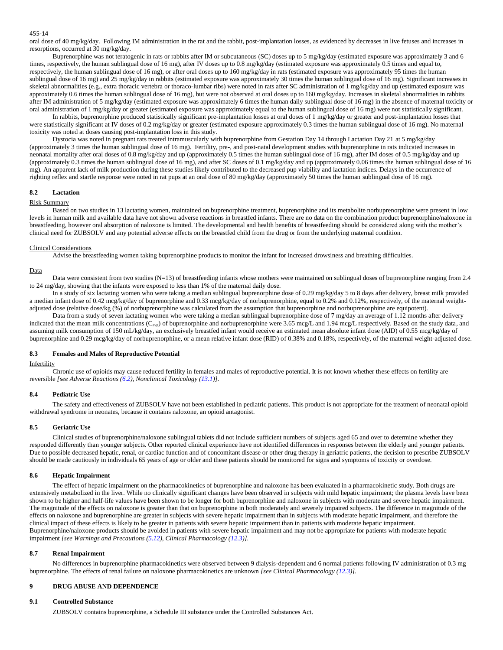oral dose of 40 mg/kg/day. Following IM administration in the rat and the rabbit, post-implantation losses, as evidenced by decreases in live fetuses and increases in resorptions, occurred at 30 mg/kg/day.

Buprenorphine was not teratogenic in rats or rabbits after IM or subcutaneous (SC) doses up to 5 mg/kg/day (estimated exposure was approximately 3 and 6 times, respectively, the human sublingual dose of 16 mg), after IV doses up to 0.8 mg/kg/day (estimated exposure was approximately 0.5 times and equal to, respectively, the human sublingual dose of 16 mg), or after oral doses up to 160 mg/kg/day in rats (estimated exposure was approximately 95 times the human sublingual dose of 16 mg) and 25 mg/kg/day in rabbits (estimated exposure was approximately 30 times the human sublingual dose of 16 mg). Significant increases in skeletal abnormalities (e.g., extra thoracic vertebra or thoraco-lumbar ribs) were noted in rats after SC administration of 1 mg/kg/day and up (estimated exposure was approximately 0.6 times the human sublingual dose of 16 mg), but were not observed at oral doses up to 160 mg/kg/day. Increases in skeletal abnormalities in rabbits after IM administration of 5 mg/kg/day (estimated exposure was approximately 6 times the human daily sublingual dose of 16 mg) in the absence of maternal toxicity or oral administration of 1 mg/kg/day or greater (estimated exposure was approximately equal to the human sublingual dose of 16 mg) were not statistically significant.

In rabbits, buprenorphine produced statistically significant pre-implantation losses at oral doses of 1 mg/kg/day or greater and post-implantation losses that were statistically significant at IV doses of 0.2 mg/kg/day or greater (estimated exposure approximately 0.3 times the human sublingual dose of 16 mg). No maternal toxicity was noted at doses causing post-implantation loss in this study.

Dystocia was noted in pregnant rats treated intramuscularly with buprenorphine from Gestation Day 14 through Lactation Day 21 at 5 mg/kg/day (approximately 3 times the human sublingual dose of 16 mg). Fertility, pre-, and post-natal development studies with buprenorphine in rats indicated increases in neonatal mortality after oral doses of 0.8 mg/kg/day and up (approximately 0.5 times the human sublingual dose of 16 mg), after IM doses of 0.5 mg/kg/day and up (approximately 0.3 times the human sublingual dose of 16 mg), and after SC doses of 0.1 mg/kg/day and up (approximately 0.06 times the human sublingual dose of 16 mg). An apparent lack of milk production during these studies likely contributed to the decreased pup viability and lactation indices. Delays in the occurrence of righting reflex and startle response were noted in rat pups at an oral dose of 80 mg/kg/day (approximately 50 times the human sublingual dose of 16 mg).

#### **8.2 Lactation**

### Risk Summary

Based on two studies in 13 lactating women, maintained on buprenorphine treatment, buprenorphine and its metabolite norbuprenorphine were present in low levels in human milk and available data have not shown adverse reactions in breastfed infants. There are no data on the combination product buprenorphine/naloxone in breastfeeding, however oral absorption of naloxone is limited. The developmental and health benefits of breastfeeding should be considered along with the mother's clinical need for ZUBSOLV and any potential adverse effects on the breastfed child from the drug or from the underlying maternal condition.

#### Clinical Considerations

Advise the breastfeeding women taking buprenorphine products to monitor the infant for increased drowsiness and breathing difficulties.

#### Data

Data were consistent from two studies (N=13) of breastfeeding infants whose mothers were maintained on sublingual doses of buprenorphine ranging from 2.4 to 24 mg/day, showing that the infants were exposed to less than 1% of the maternal daily dose.

In a study of six lactating women who were taking a median sublingual buprenorphine dose of 0.29 mg/kg/day 5 to 8 days after delivery, breast milk provided a median infant dose of 0.42 mcg/kg/day of buprenorphine and 0.33 mcg/kg/day of norbuprenorphine, equal to 0.2% and 0.12%, respectively, of the maternal weightadjusted dose (relative dose/kg (%) of norbuprenorphine was calculated from the assumption that buprenorphine and norbuprenorphine are equipotent).

Data from a study of seven lactating women who were taking a median sublingual buprenorphine dose of 7 mg/day an average of 1.12 months after delivery indicated that the mean milk concentrations ( $C_{\text{avg}}$ ) of buprenorphine and norbuprenorphine were 3.65 mcg/L and 1.94 mcg/L respectively. Based on the study data, and assuming milk consumption of 150 mL/kg/day, an exclusively breastfed infant would receive an estimated mean absolute infant dose (AID) of 0.55 mcg/kg/day of buprenorphine and 0.29 mcg/kg/day of norbuprenorphine, or a mean relative infant dose (RID) of 0.38% and 0.18%, respectively, of the maternal weight-adjusted dose.

# **8.3 Females and Males of Reproductive Potential**

#### Infertility

Chronic use of opioids may cause reduced fertility in females and males of reproductive potential. It is not known whether these effects on fertility are reversible *[see Adverse Reactions (6.2), Nonclinical Toxicology (13.1)]*.

#### **8.4 Pediatric Use**

The safety and effectiveness of ZUBSOLV have not been established in pediatric patients. This product is not appropriate for the treatment of neonatal opioid withdrawal syndrome in neonates, because it contains naloxone, an opioid antagonist.

### **8.5 Geriatric Use**

Clinical studies of buprenorphine/naloxone sublingual tablets did not include sufficient numbers of subjects aged 65 and over to determine whether they responded differently than younger subjects. Other reported clinical experience have not identified differences in responses between the elderly and younger patients. Due to possible decreased hepatic, renal, or cardiac function and of concomitant disease or other drug therapy in geriatric patients, the decision to prescribe ZUBSOLV should be made cautiously in individuals 65 years of age or older and these patients should be monitored for signs and symptoms of toxicity or overdose.

#### **8.6 Hepatic Impairment**

The effect of hepatic impairment on the pharmacokinetics of buprenorphine and naloxone has been evaluated in a pharmacokinetic study. Both drugs are extensively metabolized in the liver. While no clinically significant changes have been observed in subjects with mild hepatic impairment; the plasma levels have been shown to be higher and half-life values have been shown to be longer for both buprenorphine and naloxone in subjects with moderate and severe hepatic impairment. The magnitude of the effects on naloxone is greater than that on buprenorphine in both moderately and severely impaired subjects. The difference in magnitude of the effects on naloxone and buprenorphine are greater in subjects with severe hepatic impairment than in subjects with moderate hepatic impairment, and therefore the clinical impact of these effects is likely to be greater in patients with severe hepatic impairment than in patients with moderate hepatic impairment. Buprenorphine/naloxone products should be avoided in patients with severe hepatic impairment and may not be appropriate for patients with moderate hepatic impairment *[see Warnings and Precautions (5.12), Clinical Pharmacology (12.3)].*

# **8.7 Renal Impairment**

No differences in buprenorphine pharmacokinetics were observed between 9 dialysis-dependent and 6 normal patients following IV administration of 0.3 mg buprenorphine. The effects of renal failure on naloxone pharmacokinetics are unknown *[see Clinical Pharmacology (12.3)].*

# **9 DRUG ABUSE AND DEPENDENCE**

#### **9.1 Controlled Substance**

ZUBSOLV contains buprenorphine, a Schedule III substance under the Controlled Substances Act.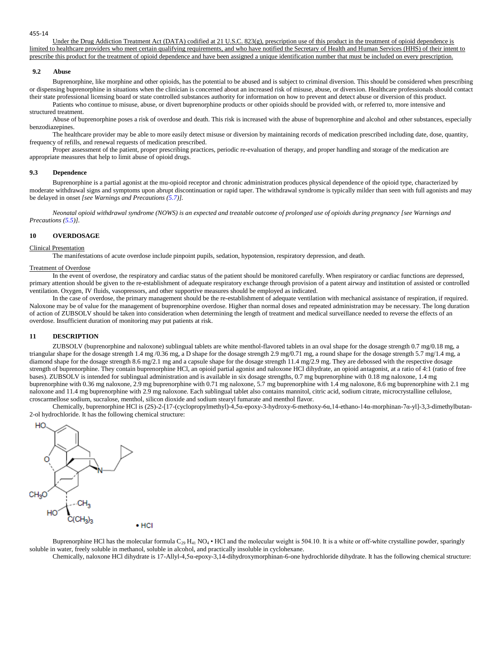Under the Drug Addiction Treatment Act (DATA) codified at 21 U.S.C. 823(g), prescription use of this product in the treatment of opioid dependence is limited to healthcare providers who meet certain qualifying requirements, and who have notified the Secretary of Health and Human Services (HHS) of their intent to prescribe this product for the treatment of opioid dependence and have been assigned a unique identification number that must be included on every prescription.

#### **9.2 Abuse**

Buprenorphine, like morphine and other opioids, has the potential to be abused and is subject to criminal diversion. This should be considered when prescribing or dispensing buprenorphine in situations when the clinician is concerned about an increased risk of misuse, abuse, or diversion. Healthcare professionals should contact their state professional licensing board or state controlled substances authority for information on how to prevent and detect abuse or diversion of this product.

Patients who continue to misuse, abuse, or divert buprenorphine products or other opioids should be provided with, or referred to, more intensive and structured treatment.

Abuse of buprenorphine poses a risk of overdose and death. This risk is increased with the abuse of buprenorphine and alcohol and other substances, especially benzodiazepines.

The healthcare provider may be able to more easily detect misuse or diversion by maintaining records of medication prescribed including date, dose, quantity, frequency of refills, and renewal requests of medication prescribed.

Proper assessment of the patient, proper prescribing practices, periodic re-evaluation of therapy, and proper handling and storage of the medication are appropriate measures that help to limit abuse of opioid drugs.

#### **9.3 Dependence**

Buprenorphine is a partial agonist at the mu-opioid receptor and chronic administration produces physical dependence of the opioid type, characterized by moderate withdrawal signs and symptoms upon abrupt discontinuation or rapid taper. The withdrawal syndrome is typically milder than seen with full agonists and may be delayed in onset *[see Warnings and Precautions (5.7)].*

*Neonatal opioid withdrawal syndrome (NOWS) is an expected and treatable outcome of prolonged use of opioids during pregnancy [see Warnings and Precautions (5.5)].*

# **10 OVERDOSAGE**

# Clinical Presentation

The manifestations of acute overdose include pinpoint pupils, sedation, hypotension, respiratory depression, and death.

#### Treatment of Overdose

In the event of overdose, the respiratory and cardiac status of the patient should be monitored carefully. When respiratory or cardiac functions are depressed, primary attention should be given to the re-establishment of adequate respiratory exchange through provision of a patent airway and institution of assisted or controlled ventilation. Oxygen, IV fluids, vasopressors, and other supportive measures should be employed as indicated.

In the case of overdose, the primary management should be the re-establishment of adequate ventilation with mechanical assistance of respiration, if required. Naloxone may be of value for the management of buprenorphine overdose. Higher than normal doses and repeated administration may be necessary. The long duration of action of ZUBSOLV should be taken into consideration when determining the length of treatment and medical surveillance needed to reverse the effects of an overdose. Insufficient duration of monitoring may put patients at risk.

### **11 DESCRIPTION**

ZUBSOLV (buprenorphine and naloxone) sublingual tablets are white menthol-flavored tablets in an oval shape for the dosage strength 0.7 mg/0.18 mg, a triangular shape for the dosage strength 1.4 mg /0.36 mg, a D shape for the dosage strength 2.9 mg/0.71 mg, a round shape for the dosage strength 5.7 mg/1.4 mg, a diamond shape for the dosage strength 8.6 mg/2.1 mg and a capsule shape for the dosage strength 11.4 mg/2.9 mg. They are debossed with the respective dosage strength of buprenorphine. They contain buprenorphine HCl, an opioid partial agonist and naloxone HCl dihydrate, an opioid antagonist, at a ratio of 4:1 (ratio of free bases). ZUBSOLV is intended for sublingual administration and is available in six dosage strengths, 0.7 mg buprenorphine with 0.18 mg naloxone, 1.4 mg buprenorphine with 0.36 mg naloxone, 2.9 mg buprenorphine with 0.71 mg naloxone, 5.7 mg buprenorphine with 1.4 mg naloxone, 8.6 mg buprenorphine with 2.1 mg naloxone and 11.4 mg buprenorphine with 2.9 mg naloxone. Each sublingual tablet also contains mannitol, citric acid, sodium citrate, microcrystalline cellulose, croscarmellose sodium, sucralose, menthol, silicon dioxide and sodium stearyl fumarate and menthol flavor.

Chemically, buprenorphine HCl is (2S)-2-[17-(cyclopropylmethyl)-4,5α-epoxy-3-hydroxy-6-methoxy-6α,14-ethano-14α-morphinan-7α-yl]-3,3-dimethylbutan-2-ol hydrochloride. It has the following chemical structure:



Buprenorphine HCl has the molecular formula C<sub>29</sub> H<sub>41</sub> NO<sub>4</sub> • HCl and the molecular weight is 504.10. It is a white or off-white crystalline powder, sparingly soluble in water, freely soluble in methanol, soluble in alcohol, and practically insoluble in cyclohexane.

Chemically, naloxone HCl dihydrate is 17-Allyl-4,5α-epoxy-3,14-dihydroxymorphinan-6-one hydrochloride dihydrate. It has the following chemical structure: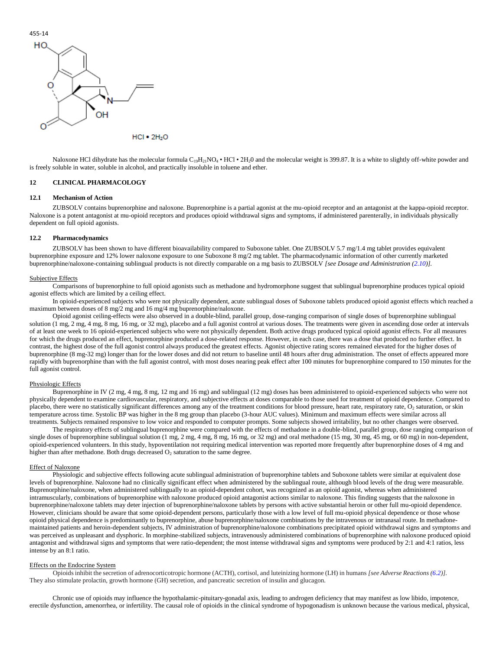

 $HCI • 2H<sub>2</sub>O$ 

Naloxone HCl dihydrate has the molecular formula  $C_{19}H_{21}NO_4 \cdot HCl \cdot 2H_2O$  and the molecular weight is 399.87. It is a white to slightly off-white powder and is freely soluble in water, soluble in alcohol, and practically insoluble in toluene and ether.

# **12 CLINICAL PHARMACOLOGY**

# **12.1 Mechanism of Action**

ZUBSOLV contains buprenorphine and naloxone. Buprenorphine is a partial agonist at the mu-opioid receptor and an antagonist at the kappa-opioid receptor. Naloxone is a potent antagonist at mu-opioid receptors and produces opioid withdrawal signs and symptoms, if administered parenterally, in individuals physically dependent on full opioid agonists.

### **12.2 Pharmacodynamics**

ZUBSOLV has been shown to have different bioavailability compared to Suboxone tablet. One ZUBSOLV 5.7 mg/1.4 mg tablet provides equivalent buprenorphine exposure and 12% lower naloxone exposure to one Suboxone 8 mg/2 mg tablet. The pharmacodynamic information of other currently marketed buprenorphine/naloxone-containing sublingual products is not directly comparable on a mg basis to ZUBSOLV *[see Dosage and Administration (2.10)].*

#### Subjective Effects

Comparisons of buprenorphine to full opioid agonists such as methadone and hydromorphone suggest that sublingual buprenorphine produces typical opioid agonist effects which are limited by a ceiling effect.

In opioid-experienced subjects who were not physically dependent, acute sublingual doses of Suboxone tablets produced opioid agonist effects which reached a maximum between doses of 8 mg/2 mg and 16 mg/4 mg buprenorphine/naloxone.

Opioid agonist ceiling-effects were also observed in a double-blind, parallel group, dose-ranging comparison of single doses of buprenorphine sublingual solution (1 mg, 2 mg, 4 mg, 8 mg, 16 mg, or 32 mg), placebo and a full agonist control at various doses. The treatments were given in ascending dose order at intervals of at least one week to 16 opioid-experienced subjects who were not physically dependent. Both active drugs produced typical opioid agonist effects. For all measures for which the drugs produced an effect, buprenorphine produced a dose-related response. However, in each case, there was a dose that produced no further effect. In contrast, the highest dose of the full agonist control always produced the greatest effects. Agonist objective rating scores remained elevated for the higher doses of buprenorphine (8 mg-32 mg) longer than for the lower doses and did not return to baseline until 48 hours after drug administration. The onset of effects appeared more rapidly with buprenorphine than with the full agonist control, with most doses nearing peak effect after 100 minutes for buprenorphine compared to 150 minutes for the full agonist control.

# Physiologic Effects

Buprenorphine in IV (2 mg, 4 mg, 8 mg, 12 mg and 16 mg) and sublingual (12 mg) doses has been administered to opioid-experienced subjects who were not physically dependent to examine cardiovascular, respiratory, and subjective effects at doses comparable to those used for treatment of opioid dependence. Compared to placebo, there were no statistically significant differences among any of the treatment conditions for blood pressure, heart rate, respiratory rate, O<sub>2</sub> saturation, or skin temperature across time. Systolic BP was higher in the 8 mg group than placebo (3-hour AUC values). Minimum and maximum effects were similar across all treatments. Subjects remained responsive to low voice and responded to computer prompts. Some subjects showed irritability, but no other changes were observed.

The respiratory effects of sublingual buprenorphine were compared with the effects of methadone in a double-blind, parallel group, dose ranging comparison of single doses of buprenorphine sublingual solution (1 mg, 2 mg, 4 mg, 8 mg, 16 mg, or 32 mg) and oral methadone (15 mg, 30 mg, 45 mg, or 60 mg) in non-dependent, opioid-experienced volunteers. In this study, hypoventilation not requiring medical intervention was reported more frequently after buprenorphine doses of 4 mg and higher than after methadone. Both drugs decreased O<sub>2</sub> saturation to the same degree.

#### Effect of Naloxone

Physiologic and subjective effects following acute sublingual administration of buprenorphine tablets and Suboxone tablets were similar at equivalent dose levels of buprenorphine. Naloxone had no clinically significant effect when administered by the sublingual route, although blood levels of the drug were measurable. Buprenorphine/naloxone, when administered sublingually to an opioid-dependent cohort, was recognized as an opioid agonist, whereas when administered intramuscularly, combinations of buprenorphine with naloxone produced opioid antagonist actions similar to naloxone. This finding suggests that the naloxone in buprenorphine/naloxone tablets may deter injection of buprenorphine/naloxone tablets by persons with active substantial heroin or other full mu-opioid dependence. However, clinicians should be aware that some opioid-dependent persons, particularly those with a low level of full mu-opioid physical dependence or those whose opioid physical dependence is predominantly to buprenorphine, abuse buprenorphine/naloxone combinations by the intravenous or intranasal route. In methadonemaintained patients and heroin-dependent subjects, IV administration of buprenorphine/naloxone combinations precipitated opioid withdrawal signs and symptoms and was perceived as unpleasant and dysphoric. In morphine-stabilized subjects, intravenously administered combinations of buprenorphine with naloxone produced opioid antagonist and withdrawal signs and symptoms that were ratio-dependent; the most intense withdrawal signs and symptoms were produced by 2:1 and 4:1 ratios, less intense by an 8:1 ratio.

#### Effects on the Endocrine System

Opioids inhibit the secretion of adrenocorticotropic hormone (ACTH), cortisol, and luteinizing hormone (LH) in humans *[see Adverse Reactions (6.2)]*. They also stimulate prolactin, growth hormone (GH) secretion, and pancreatic secretion of insulin and glucagon.

Chronic use of opioids may influence the hypothalamic-pituitary-gonadal axis, leading to androgen deficiency that may manifest as low libido, impotence, erectile dysfunction, amenorrhea, or infertility. The causal role of opioids in the clinical syndrome of hypogonadism is unknown because the various medical, physical,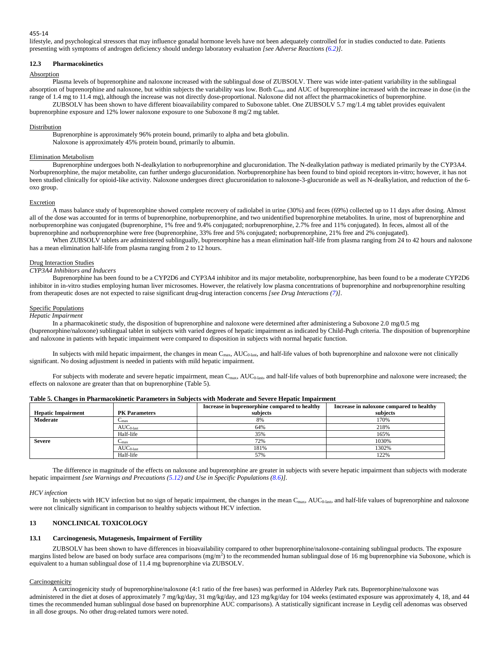lifestyle, and psychological stressors that may influence gonadal hormone levels have not been adequately controlled for in studies conducted to date. Patients presenting with symptoms of androgen deficiency should undergo laboratory evaluation *[see Adverse Reactions (6.2)]*.

# **12.3 Pharmacokinetics**

# **Absorption**

Plasma levels of buprenorphine and naloxone increased with the sublingual dose of ZUBSOLV. There was wide inter-patient variability in the sublingual absorption of buprenorphine and naloxone, but within subjects the variability was low. Both C<sub>max</sub> and AUC of buprenorphine increased with the increase in dose (in the range of 1.4 mg to 11.4 mg), although the increase was not directly dose-proportional. Naloxone did not affect the pharmacokinetics of buprenorphine. ZUBSOLV has been shown to have different bioavailability compared to Suboxone tablet. One ZUBSOLV 5.7 mg/1.4 mg tablet provides equivalent

buprenorphine exposure and 12% lower naloxone exposure to one Suboxone 8 mg/2 mg tablet.

### **Distribution**

Buprenorphine is approximately 96% protein bound, primarily to alpha and beta globulin. Naloxone is approximately 45% protein bound, primarily to albumin.

### Elimination Metabolism

Buprenorphine undergoes both N-dealkylation to norbuprenorphine and glucuronidation. The N-dealkylation pathway is mediated primarily by the CYP3A4. Norbuprenorphine, the major metabolite, can further undergo glucuronidation. Norbuprenorphine has been found to bind opioid receptors in-vitro; however, it has not been studied clinically for opioid-like activity. Naloxone undergoes direct glucuronidation to naloxone-3-glucuronide as well as N-dealkylation, and reduction of the 6 oxo group.

# Excretion

A mass balance study of buprenorphine showed complete recovery of radiolabel in urine (30%) and feces (69%) collected up to 11 days after dosing. Almost all of the dose was accounted for in terms of buprenorphine, norbuprenorphine, and two unidentified buprenorphine metabolites. In urine, most of buprenorphine and norbuprenorphine was conjugated (buprenorphine, 1% free and 9.4% conjugated; norbuprenorphine, 2.7% free and 11% conjugated). In feces, almost all of the buprenorphine and norbuprenorphine were free (buprenorphine, 33% free and 5% conjugated; norbuprenorphine, 21% free and 2% conjugated).

When ZUBSOLV tablets are administered sublingually, buprenorphine has a mean elimination half-life from plasma ranging from 24 to 42 hours and naloxone has a mean elimination half-life from plasma ranging from 2 to 12 hours.

### Drug Interaction Studies

# *CYP3A4 Inhibitors and Inducers*

Buprenorphine has been found to be a CYP2D6 and CYP3A4 inhibitor and its major metabolite, norbuprenorphine, has been found to be a moderate CYP2D6 inhibitor in in-vitro studies employing human liver microsomes. However, the relatively low plasma concentrations of buprenorphine and norbuprenorphine resulting from therapeutic doses are not expected to raise significant drug-drug interaction concerns *[see Drug Interactions (7)]*.

### Specific Populations

#### *Hepatic Impairment*

In a pharmacokinetic study, the disposition of buprenorphine and naloxone were determined after administering a Suboxone 2.0 mg/0.5 mg (buprenorphine/naloxone) sublingual tablet in subjects with varied degrees of hepatic impairment as indicated by Child-Pugh criteria. The disposition of buprenorphine and naloxone in patients with hepatic impairment were compared to disposition in subjects with normal hepatic function.

In subjects with mild hepatic impairment, the changes in mean  $C_{\text{max}}$ , AUC<sub>0-last</sub>, and half-life values of both buprenorphine and naloxone were not clinically significant. No dosing adjustment is needed in patients with mild hepatic impairment.

For subjects with moderate and severe hepatic impairment, mean C<sub>max</sub>, AUC<sub>0-last</sub>, and half-life values of both buprenorphine and naloxone were increased; the effects on naloxone are greater than that on buprenorphine (Table 5).

|                           |                      | Increase in buprenorphine compared to healthy | Increase in naloxone compared to healthy |
|---------------------------|----------------------|-----------------------------------------------|------------------------------------------|
| <b>Hepatic Impairment</b> | <b>PK Parameters</b> | subjects                                      | subjects                                 |
| Moderate                  | $C_{\text{max}}$     | 8%                                            | 170%                                     |
|                           | $AUC0-last$          | 64%                                           | 218%                                     |
|                           | Half-life            | 35%                                           | 165%                                     |
| <b>Severe</b>             | $C_{\text{max}}$     | 72%                                           | 1030%                                    |
|                           | $AUC0-last$          | 181%                                          | 1302%                                    |
|                           | Half-life            | 57%                                           | 122%                                     |

# **Table 5. Changes in Pharmacokinetic Parameters in Subjects with Moderate and Severe Hepatic Impairment**

The difference in magnitude of the effects on naloxone and buprenorphine are greater in subjects with severe hepatic impairment than subjects with moderate hepatic impairment *[see Warnings and Precautions (5.12) and Use in Specific Populations (8.6)].*

#### *HCV infection*

In subjects with HCV infection but no sign of hepatic impairment, the changes in the mean  $C_{\text{max}}$ ,  $AUC_{\text{0-las}}$ , and half-life values of buprenorphine and naloxone were not clinically significant in comparison to healthy subjects without HCV infection.

# **13 NONCLINICAL TOXICOLOGY**

## **13.1 Carcinogenesis, Mutagenesis, Impairment of Fertility**

ZUBSOLV has been shown to have differences in bioavailability compared to other buprenorphine/naloxone-containing sublingual products. The exposure margins listed below are based on body surface area comparisons  $(mg/m<sup>2</sup>)$  to the recommended human sublingual dose of 16 mg buprenorphine via Suboxone, which is equivalent to a human sublingual dose of 11.4 mg buprenorphine via ZUBSOLV.

#### **Carcinogenicity**

A carcinogenicity study of buprenorphine/naloxone (4:1 ratio of the free bases) was performed in Alderley Park rats. Buprenorphine/naloxone was administered in the diet at doses of approximately 7 mg/kg/day, 31 mg/kg/day, and 123 mg/kg/day for 104 weeks (estimated exposure was approximately 4, 18, and 44 times the recommended human sublingual dose based on buprenorphine AUC comparisons). A statistically significant increase in Leydig cell adenomas was observed in all dose groups. No other drug-related tumors were noted.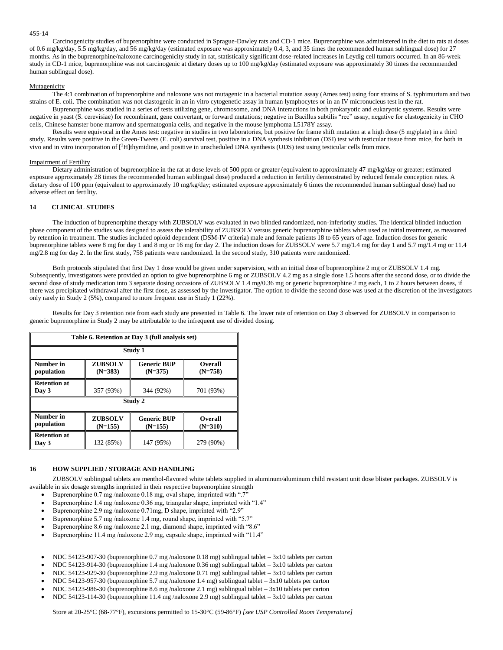Carcinogenicity studies of buprenorphine were conducted in Sprague-Dawley rats and CD-1 mice. Buprenorphine was administered in the diet to rats at doses of 0.6 mg/kg/day, 5.5 mg/kg/day, and 56 mg/kg/day (estimated exposure was approximately 0.4, 3, and 35 times the recommended human sublingual dose) for 27 months. As in the buprenorphine/naloxone carcinogenicity study in rat, statistically significant dose-related increases in Leydig cell tumors occurred. In an 86-week study in CD-1 mice, buprenorphine was not carcinogenic at dietary doses up to 100 mg/kg/day (estimated exposure was approximately 30 times the recommended human sublingual dose).

### Mutagenicity

The 4:1 combination of buprenorphine and naloxone was not mutagenic in a bacterial mutation assay (Ames test) using four strains of S. typhimurium and two strains of E. coli. The combination was not clastogenic in an in vitro cytogenetic assay in human lymphocytes or in an IV micronucleus test in the rat.

Buprenorphine was studied in a series of tests utilizing gene, chromosome, and DNA interactions in both prokaryotic and eukaryotic systems. Results were negative in yeast (S. cerevisiae) for recombinant, gene convertant, or forward mutations; negative in Bacillus subtilis "rec" assay, negative for clastogenicity in CHO cells, Chinese hamster bone marrow and spermatogonia cells, and negative in the mouse lymphoma L5178Y assay.

Results were equivocal in the Ames test: negative in studies in two laboratories, but positive for frame shift mutation at a high dose (5 mg/plate) in a third study. Results were positive in the Green-Tweets (E. coli) survival test, positive in a DNA synthesis inhibition (DSI) test with testicular tissue from mice, for both in vivo and in vitro incorporation of [<sup>3</sup>H]thymidine, and positive in unscheduled DNA synthesis (UDS) test using testicular cells from mice.

### Impairment of Fertility

Dietary administration of buprenorphine in the rat at dose levels of 500 ppm or greater (equivalent to approximately 47 mg/kg/day or greater; estimated exposure approximately 28 times the recommended human sublingual dose) produced a reduction in fertility demonstrated by reduced female conception rates. A dietary dose of 100 ppm (equivalent to approximately 10 mg/kg/day; estimated exposure approximately 6 times the recommended human sublingual dose) had no adverse effect on fertility.

# **14 CLINICAL STUDIES**

The induction of buprenorphine therapy with ZUBSOLV was evaluated in two blinded randomized, non-inferiority studies. The identical blinded induction phase component of the studies was designed to assess the tolerability of ZUBSOLV versus generic buprenorphine tablets when used as initial treatment, as measured by retention in treatment. The studies included opioid dependent (DSM-IV criteria) male and female patients 18 to 65 years of age. Induction doses for generic buprenorphine tablets were 8 mg for day 1 and 8 mg or 16 mg for day 2. The induction doses for ZUBSOLV were 5.7 mg/1.4 mg for day 1 and 5.7 mg/1.4 mg or 11.4 mg/2.8 mg for day 2. In the first study, 758 patients were randomized. In the second study, 310 patients were randomized.

Both protocols stipulated that first Day 1 dose would be given under supervision, with an initial dose of buprenorphine 2 mg or ZUBSOLV 1.4 mg. Subsequently, investigators were provided an option to give buprenorphine 6 mg or ZUBSOLV 4.2 mg as a single dose 1.5 hours after the second dose, or to divide the second dose of study medication into 3 separate dosing occasions of ZUBSOLV 1.4 mg/0.36 mg or generic buprenorphine 2 mg each, 1 to 2 hours between doses, if there was precipitated withdrawal after the first dose, as assessed by the investigator. The option to divide the second dose was used at the discretion of the investigators only rarely in Study 2 (5%), compared to more frequent use in Study 1 (22%).

Results for Day 3 retention rate from each study are presented in Table 6. The lower rate of retention on Day 3 observed for ZUBSOLV in comparison to generic buprenorphine in Study 2 may be attributable to the infrequent use of divided dosing.

| Table 6. Retention at Day 3 (full analysis set)                                                                          |           |           |           |  |
|--------------------------------------------------------------------------------------------------------------------------|-----------|-----------|-----------|--|
|                                                                                                                          |           | Study 1   |           |  |
| Number in<br><b>ZUBSOLV</b><br><b>Generic BUP</b><br><b>Overall</b><br>$(N=383)$<br>$(N=375)$<br>$(N=758)$<br>population |           |           |           |  |
| <b>Retention at</b><br>Day 3                                                                                             | 357 (93%) | 344 (92%) | 701 (93%) |  |
| Study 2                                                                                                                  |           |           |           |  |
| Number in<br><b>ZUBSOLV</b><br><b>Generic BUP</b><br><b>Overall</b><br>population<br>$(N=155)$<br>$(N=155)$<br>$(N=310)$ |           |           |           |  |
| <b>Retention at</b><br>Day 3                                                                                             | 132 (85%) | 147 (95%) | 279 (90%) |  |

# **16 HOW SUPPLIED / STORAGE AND HANDLING**

ZUBSOLV sublingual tablets are menthol-flavored white tablets supplied in aluminum/aluminum child resistant unit dose blister packages. ZUBSOLV is available in six dosage strengths imprinted in their respective buprenorphine strength

- Buprenorphine 0.7 mg /naloxone 0.18 mg, oval shape, imprinted with ".7"
- Buprenorphine 1.4 mg /naloxone 0.36 mg, triangular shape, imprinted with "1.4"
- Buprenorphine 2.9 mg /naloxone 0.71mg, D shape, imprinted with "2.9"
- Buprenorphine 5.7 mg /naloxone 1.4 mg, round shape, imprinted with "5.7"
- Buprenorphine 8.6 mg /naloxone 2.1 mg, diamond shape, imprinted with "8.6"
- Buprenorphine 11.4 mg /naloxone 2.9 mg, capsule shape, imprinted with "11.4"
- NDC 54123-907-30 (buprenorphine 0.7 mg /naloxone 0.18 mg) sublingual tablet 3x10 tablets per carton
- NDC 54123-914-30 (buprenorphine 1.4 mg /naloxone 0.36 mg) sublingual tablet 3x10 tablets per carton
- NDC 54123-929-30 (buprenorphine 2.9 mg /naloxone 0.71 mg) sublingual tablet 3x10 tablets per carton
- NDC 54123-957-30 (buprenorphine 5.7 mg /naloxone 1.4 mg) sublingual tablet 3x10 tablets per carton
- NDC 54123-986-30 (buprenorphine 8.6 mg /naloxone 2.1 mg) sublingual tablet 3x10 tablets per carton
- NDC 54123-114-30 (buprenorphine 11.4 mg /naloxone 2.9 mg) sublingual tablet 3x10 tablets per carton

Store at 20-25°C (68-77°F), excursions permitted to 15-30°C (59-86°F) *[see USP Controlled Room Temperature]*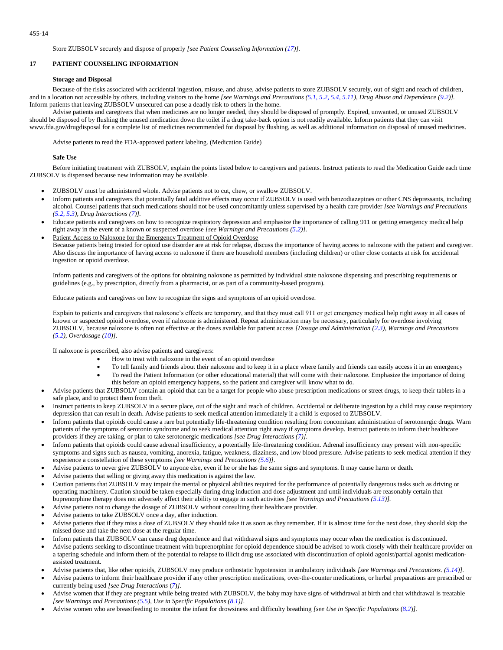Store ZUBSOLV securely and dispose of properly *[see Patient Counseling Information (17)].*

# **17 PATIENT COUNSELING INFORMATION**

# **Storage and Disposal**

Because of the risks associated with accidental ingestion, misuse, and abuse, advise patients to store ZUBSOLV securely, out of sight and reach of children, and in a location not accessible by others, including visitors to the home *[see Warnings and Precautions (5.1, 5.2, 5.4, 5.11), Drug Abuse and Dependence (9.2)].* Inform patients that leaving ZUBSOLV unsecured can pose a deadly risk to others in the home.

Advise patients and caregivers that when medicines are no longer needed, they should be disposed of promptly. Expired, unwanted, or unused ZUBSOLV should be disposed of by flushing the unused medication down the toilet if a drug take-back option is not readily available. Inform patients that they can visit www.fda.gov/drugdisposal for a complete list of medicines recommended for disposal by flushing, as well as additional information on disposal of unused medicines.

Advise patients to read the FDA-approved patient labeling. (Medication Guide)

# **Safe Use**

Before initiating treatment with ZUBSOLV, explain the points listed below to caregivers and patients. Instruct patients to read the Medication Guide each time ZUBSOLV is dispensed because new information may be available.

- ZUBSOLV must be administered whole. Advise patients not to cut, chew, or swallow ZUBSOLV.
- Inform patients and caregivers that potentially fatal additive effects may occur if ZUBSOLV is used with benzodiazepines or other CNS depressants, including alcohol. Counsel patients that such medications should not be used concomitantly unless supervised by a health care provider *[see Warnings and Precautions (5.2, 5.3), Drug Interactions (7)].*
- Educate patients and caregivers on how to recognize respiratory depression and emphasize the importance of calling 911 or getting emergency medical help right away in the event of a known or suspected overdose *[see Warnings and Precautions (5.2)]*.
- Patient Access to Naloxone for the Emergency Treatment of Opioid Overdose Because patients being treated for opioid use disorder are at risk for relapse, discuss the importance of having access to naloxone with the patient and caregiver. Also discuss the importance of having access to naloxone if there are household members (including children) or other close contacts at risk for accidental ingestion or opioid overdose.

Inform patients and caregivers of the options for obtaining naloxone as permitted by individual state naloxone dispensing and prescribing requirements or guidelines (e.g., by prescription, directly from a pharmacist, or as part of a community-based program).

Educate patients and caregivers on how to recognize the signs and symptoms of an opioid overdose.

Explain to patients and caregivers that naloxone's effects are temporary, and that they must call 911 or get emergency medical help right away in all cases of known or suspected opioid overdose, even if naloxone is administered. Repeat administration may be necessary, particularly for overdose involving ZUBSOLV, because naloxone is often not effective at the doses available for patient access *[Dosage and Administration (2.3), Warnings and Precautions (5.2), Overdosage (10)]*.

If naloxone is prescribed, also advise patients and caregivers:

- How to treat with naloxone in the event of an opioid overdose
- To tell family and friends about their naloxone and to keep it in a place where family and friends can easily access it in an emergency
- To read the Patient Information (or other educational material) that will come with their naloxone. Emphasize the importance of doing this before an opioid emergency happens, so the patient and caregiver will know what to do.
- Advise patients that ZUBSOLV contain an opioid that can be a target for people who abuse prescription medications or street drugs, to keep their tablets in a safe place, and to protect them from theft.
- Instruct patients to keep ZUBSOLV in a secure place, out of the sight and reach of children. Accidental or deliberate ingestion by a child may cause respiratory depression that can result in death. Advise patients to seek medical attention immediately if a child is exposed to ZUBSOLV.
- Inform patients that opioids could cause a rare but potentially life-threatening condition resulting from concomitant administration of serotonergic drugs. Warn patients of the symptoms of serotonin syndrome and to seek medical attention right away if symptoms develop. Instruct patients to inform their healthcare providers if they are taking, or plan to take serotonergic medications *[see Drug Interactions (7)].*
- Inform patients that opioids could cause adrenal insufficiency, a potentially life-threatening condition. Adrenal insufficiency may present with non-specific symptoms and signs such as nausea, vomiting, anorexia, fatigue, weakness, dizziness, and low blood pressure. Advise patients to seek medical attention if they experience a constellation of these symptoms *[see Warnings and Precautions (5.6)]*.
- Advise patients to never give ZUBSOLV to anyone else, even if he or she has the same signs and symptoms. It may cause harm or death.
- Advise patients that selling or giving away this medication is against the law.
- Caution patients that ZUBSOLV may impair the mental or physical abilities required for the performance of potentially dangerous tasks such as driving or operating machinery. Caution should be taken especially during drug induction and dose adjustment and until individuals are reasonably certain that buprenorphine therapy does not adversely affect their ability to engage in such activities *[see Warnings and Precautions (5.13)].*
- Advise patients not to change the dosage of ZUBSOLV without consulting their healthcare provider.
- Advise patients to take ZUBSOLV once a day, after induction.
- Advise patients that if they miss a dose of ZUBSOLV they should take it as soon as they remember. If it is almost time for the next dose, they should skip the missed dose and take the next dose at the regular time.
- Inform patients that ZUBSOLV can cause drug dependence and that withdrawal signs and symptoms may occur when the medication is discontinued.
- Advise patients seeking to discontinue treatment with buprenorphine for opioid dependence should be advised to work closely with their healthcare provider on a tapering schedule and inform them of the potential to relapse to illicit drug use associated with discontinuation of opioid agonist/partial agonist medicationassisted treatment.
- Advise patients that, like other opioids, ZUBSOLV may produce orthostatic hypotension in ambulatory individuals *[see Warnings and Precautions. (5.14)].*
- Advise patients to inform their healthcare provider if any other prescription medications, over-the-counter medications, or herbal preparations are prescribed or currently being used *[see Drug Interactions* (*7*)*]*.
- Advise women that if they are pregnant while being treated with ZUBSOLV, the baby may have signs of withdrawal at birth and that withdrawal is treatable *[see Warnings and Precautions (5.5), Use in Specific Populations (8.1)]*.
- Advise women who are breastfeeding to monitor the infant for drowsiness and difficulty breathing *[see Use in Specific Populations* (*8.2*)*].*